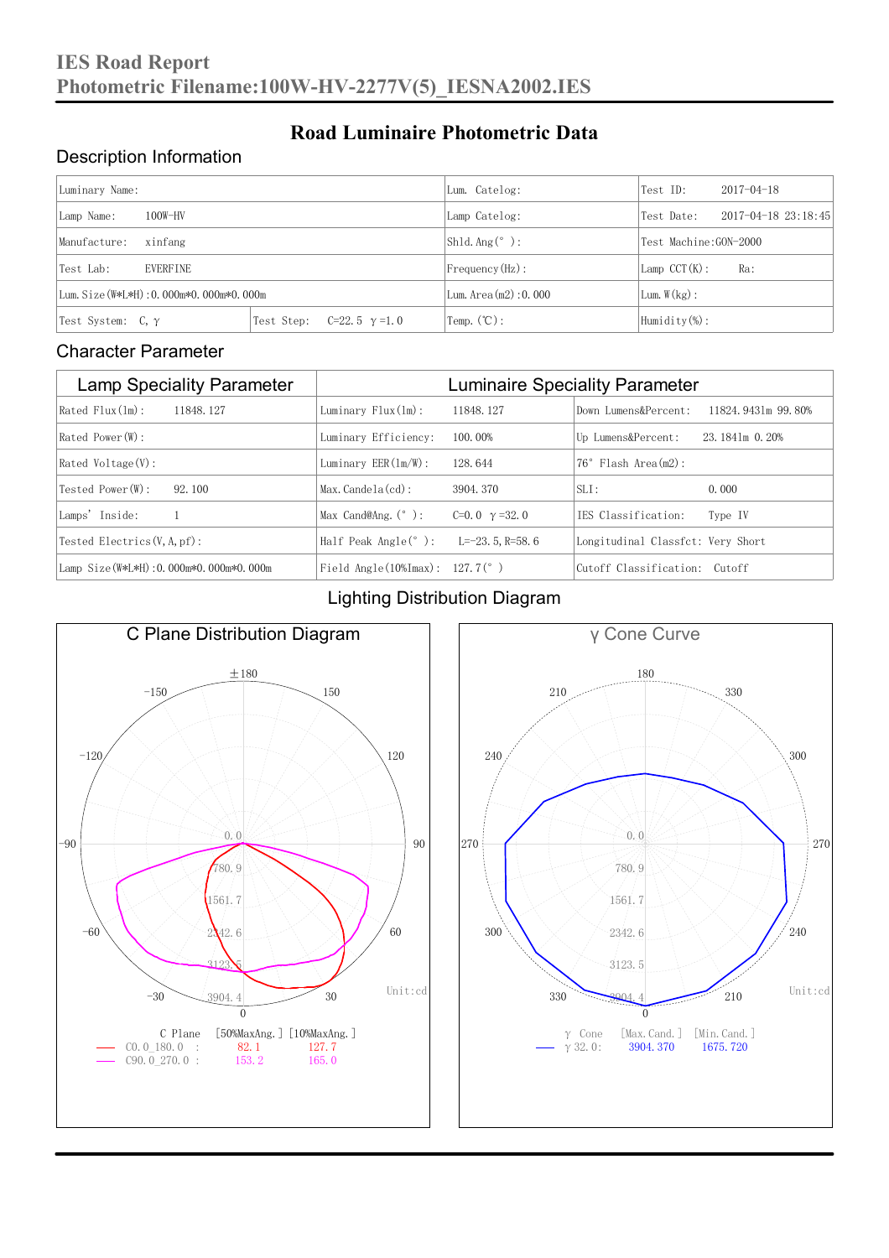## Description Information

| Luminary Name:                          |                                     | Lum. Catelog:            | Test ID:                    | $2017 - 04 - 18$ |  |
|-----------------------------------------|-------------------------------------|--------------------------|-----------------------------|------------------|--|
| $100W-HV$<br>Lamp Name:                 | Lamp Catelog:                       | Test Date:               | $2017 - 04 - 18$ $23:18:45$ |                  |  |
| Manufacture:<br>xinfang                 |                                     | $Shld$ Ang(°):           | Test Machine: GON-2000      |                  |  |
| Test Lab:<br><b>EVERFINE</b>            |                                     | $Frequency(Hz)$ :        | $Lamp$ CCT(K):              | Ra:              |  |
| Lum. Size (W*L*H): 0.000m*0.000m*0.000m |                                     | Lum. Area $(m2)$ : 0.000 | Lum. $W(kg)$ :              |                  |  |
| Test System: C,γ                        | Test Step:<br>$C=22.5$ $\gamma=1.0$ | Temp. $({\mathbb C})$ :  | Humidity $(\%)$ :           |                  |  |

**Road Luminaire Photometric Data**

#### Character Parameter

| <b>Lamp Speciality Parameter</b>        | <b>Luminaire Speciality Parameter</b>                               |                      |                                   |                    |  |
|-----------------------------------------|---------------------------------------------------------------------|----------------------|-----------------------------------|--------------------|--|
| $Rated$ $Flux(ln)$ :<br>11848.127       | Luminary $Flux(ln)$ :                                               | 11848.127            | Down Lumens&Percent:              | 11824.9431m 99.80% |  |
| $Rated$ Power $(\mathbb{W})$ :          | Luminary Efficiency:                                                | 100.00%              | Up Lumens&Percent:                | 23.1841m 0.20%     |  |
| $Rated$ Voltage $(V)$ :                 | Luminary $EER(\ln/W)$ :                                             | 128, 644             | $76°$ Flash Area $(m2)$ :         |                    |  |
| Tested Power (W):<br>92.100             | $Max.Candela(cd)$ :                                                 | 3904.370             | $SLI$ :                           | 0.000              |  |
| Lamps' Inside:                          | Max Cand@Ang. $(°)$ :                                               | C=0.0 $\gamma$ =32.0 | TES Classification:               | Type IV            |  |
| Tested Electrics $(V, A, pf)$ :         | Half Peak Angle $(°)$ :                                             | $L=-23.5$ , R=58, 6  | Longitudinal Classfct: Very Short |                    |  |
| Lamp Size (W*L*H): 0.000m*0.000m*0.000m | Field Angle $(10\text{\%} \text{Im} \text{ax})$ : 127.7 $(^\circ$ ) |                      | Cutoff Classification: Cutoff     |                    |  |

#### Lighting Distribution Diagram



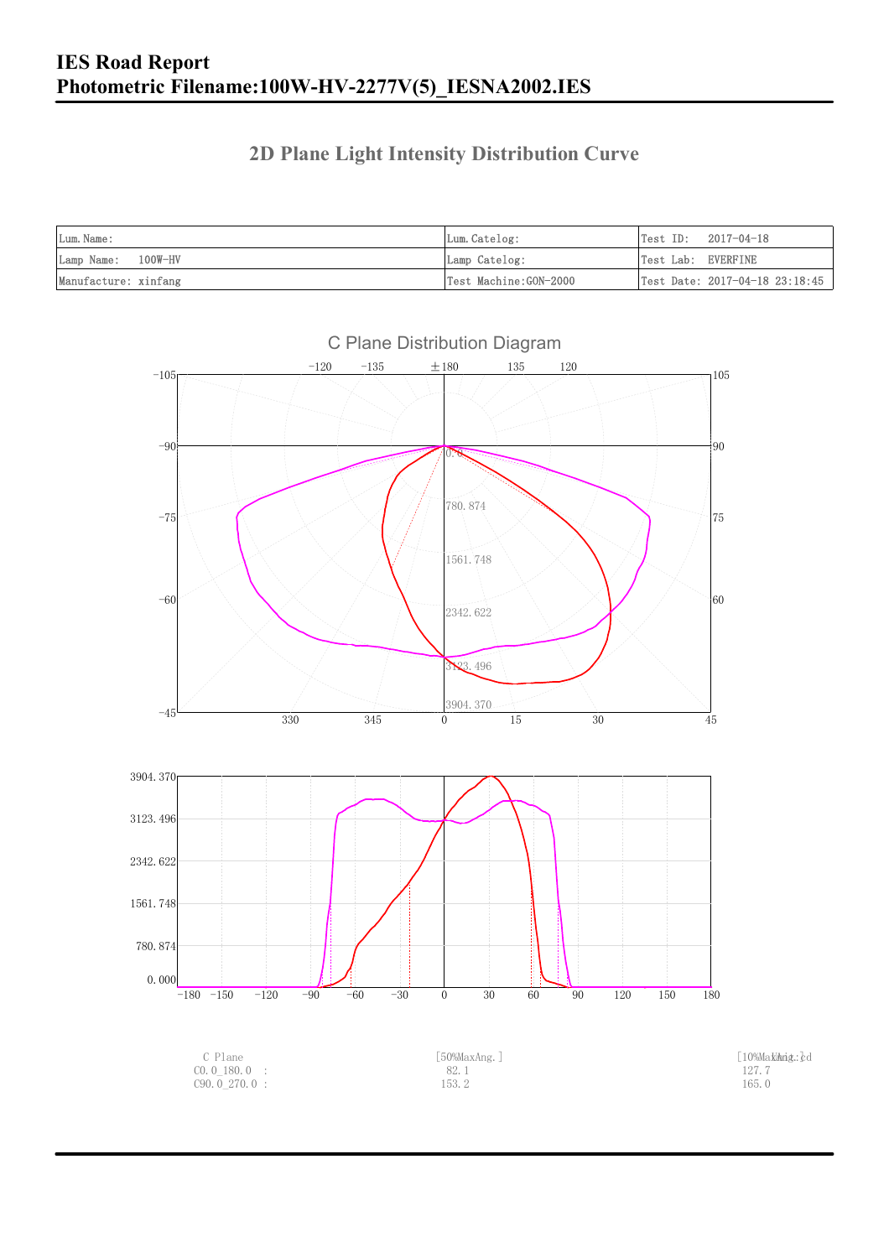### **2D Plane Light Intensity Distribution Curve**

| Lum. Name:           | Lum.Catelog:          | Test ID:<br>2017-04-18         |
|----------------------|-----------------------|--------------------------------|
| Lamp Name: 100W-HV   | Lamp Catelog:         | Test Lab: EVERFINE             |
| Manufacture: xinfang | Test Machine:GON-2000 | Test Date: 2017-04-18 23:18:45 |

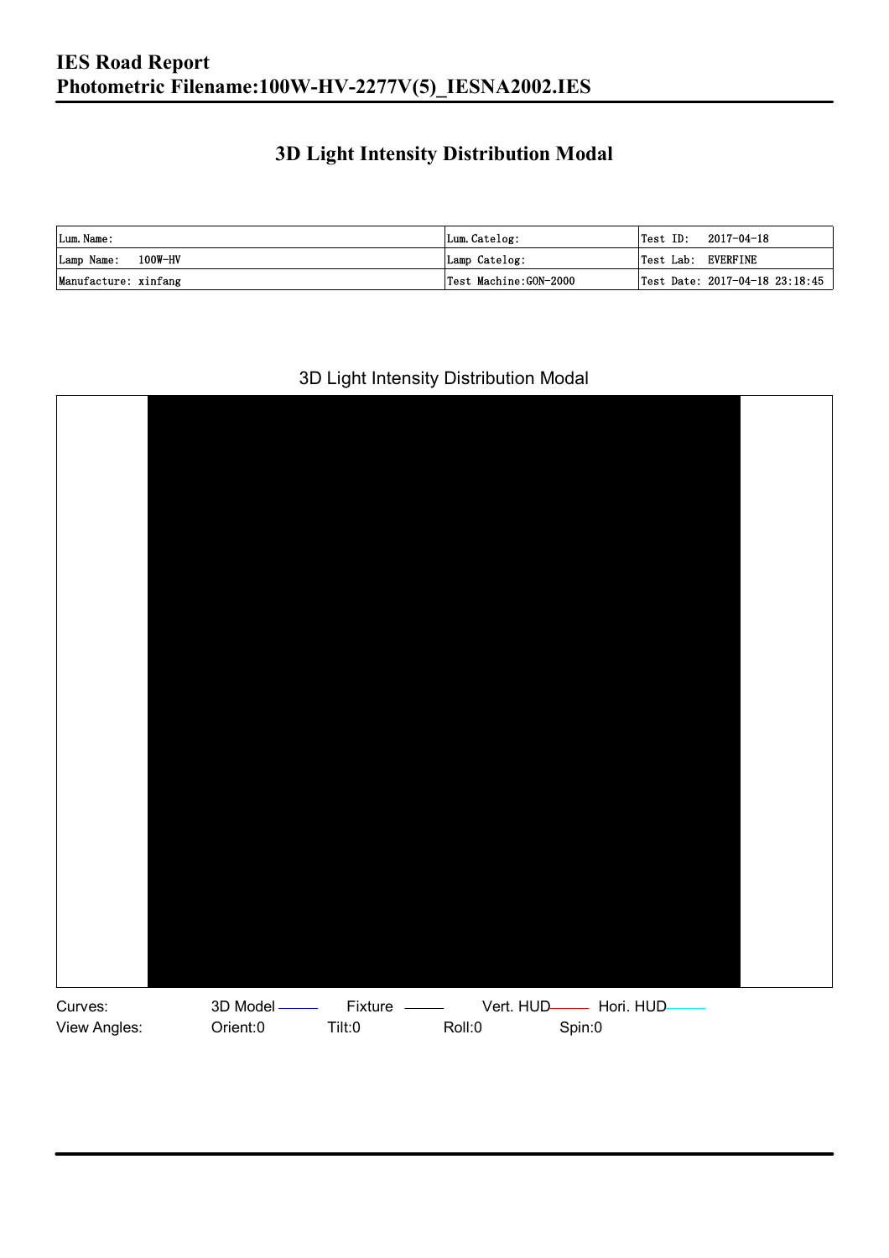### **3D Light Intensity Distribution Modal**

| Lum. Name:           | Lum.Catelog:          |                    | $\textsf{Test ID:} \quad 2017-04-18$ |
|----------------------|-----------------------|--------------------|--------------------------------------|
| Lamp Name: 100W-HV   | Lamp Catelog:         | Test Lab: EVERFINE |                                      |
| Manufacture: xinfang | Test Machine:GON-2000 |                    | Test Date: 2017-04-18 23:18:45       |

#### 3D Light Intensity Distribution Modal

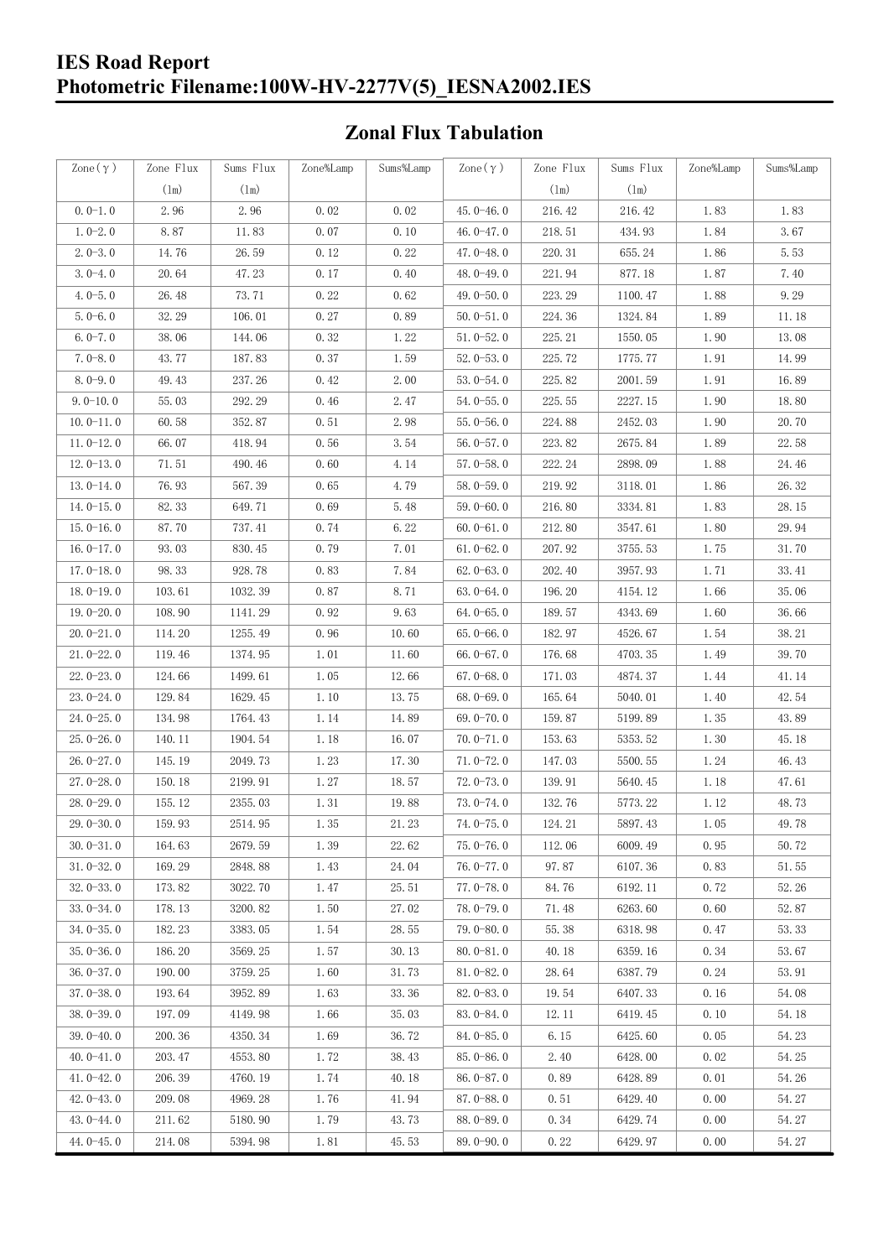## **IES Road Report Photometric Filename:100W-HV-2277V(5)\_IESNA2002.IES**

## **Zonal Flux Tabulation**

| Zone $(\gamma)$ | Zone Flux | Sums Flux | Zone%Lamp | Sums%Lamp | Zone $(\gamma)$ | Zone Flux | Sums Flux | Zone%Lamp | Sums%Lamp |
|-----------------|-----------|-----------|-----------|-----------|-----------------|-----------|-----------|-----------|-----------|
|                 | (1m)      | (1m)      |           |           |                 | (1m)      | (1m)      |           |           |
| $0.0-1.0$       | 2.96      | 2.96      | 0.02      | 0.02      | $45.0 - 46.0$   | 216.42    | 216.42    | 1.83      | 1.83      |
| $1.0 - 2.0$     | 8.87      | 11.83     | 0.07      | 0.10      | 46.0-47.0       | 218.51    | 434.93    | 1.84      | 3.67      |
| $2.0 - 3.0$     | 14.76     | 26.59     | 0.12      | 0.22      | 47.0-48.0       | 220.31    | 655.24    | 1.86      | 5.53      |
| $3.0 - 4.0$     | 20.64     | 47.23     | 0.17      | 0.40      | 48.0-49.0       | 221.94    | 877.18    | 1.87      | 7.40      |
| $4.0 - 5.0$     | 26.48     | 73.71     | 0.22      | 0.62      | 49.0 $-50.0$    | 223.29    | 1100.47   | 1.88      | 9.29      |
| $5.0 - 6.0$     | 32.29     | 106.01    | 0.27      | 0.89      | $50.0 - 51.0$   | 224.36    | 1324.84   | 1.89      | 11.18     |
| $6.0 - 7.0$     | 38.06     | 144.06    | 0.32      | 1.22      | $51.0 - 52.0$   | 225.21    | 1550.05   | 1.90      | 13.08     |
| $7.0 - 8.0$     | 43.77     | 187.83    | 0.37      | 1.59      | $52.0 - 53.0$   | 225.72    | 1775.77   | 1.91      | 14.99     |
| $8.0 - 9.0$     | 49.43     | 237.26    | 0.42      | 2.00      | $53.0 - 54.0$   | 225.82    | 2001.59   | 1.91      | 16.89     |
| $9.0 - 10.0$    | 55.03     | 292.29    | 0.46      | 2.47      | $54.0 - 55.0$   | 225.55    | 2227.15   | 1.90      | 18.80     |
| $10.0 - 11.0$   | 60.58     | 352.87    | 0.51      | 2.98      | $55.0 - 56.0$   | 224.88    | 2452.03   | 1.90      | 20.70     |
| $11.0 - 12.0$   | 66.07     | 418.94    | 0.56      | 3.54      | $56.0 - 57.0$   | 223.82    | 2675.84   | 1.89      | 22.58     |
| $12.0 - 13.0$   | 71.51     | 490.46    | 0.60      | 4.14      | $57.0 - 58.0$   | 222.24    | 2898.09   | 1.88      | 24.46     |
| $13.0 - 14.0$   | 76.93     | 567.39    | 0.65      | 4.79      | $58.0 - 59.0$   | 219.92    | 3118.01   | 1.86      | 26.32     |
| $14.0 - 15.0$   | 82.33     | 649.71    | 0.69      | 5.48      | $59.0 - 60.0$   | 216.80    | 3334.81   | 1.83      | 28.15     |
| $15.0 - 16.0$   | 87.70     | 737.41    | 0.74      | 6.22      | $60.0 - 61.0$   | 212.80    | 3547.61   | 1.80      | 29.94     |
| $16.0 - 17.0$   | 93.03     | 830.45    | 0.79      | 7.01      | $61.0 - 62.0$   | 207.92    | 3755.53   | 1.75      | 31.70     |
| $17.0 - 18.0$   | 98.33     | 928.78    | 0.83      | 7.84      | $62.0 - 63.0$   | 202.40    | 3957.93   | 1.71      | 33.41     |
| $18.0 - 19.0$   | 103.61    | 1032.39   | 0.87      | 8.71      | $63.0 - 64.0$   | 196.20    | 4154.12   | 1.66      | 35.06     |
| $19.0 - 20.0$   | 108.90    | 1141.29   | 0.92      | 9.63      | $64.0 - 65.0$   | 189.57    | 4343.69   | 1.60      | 36.66     |
| $20.0 - 21.0$   | 114.20    | 1255.49   | 0.96      | 10.60     | $65.0 - 66.0$   | 182.97    | 4526.67   | 1.54      | 38.21     |
| $21.0 - 22.0$   | 119.46    | 1374.95   | 1.01      | 11.60     | 66.0 $-67.0$    | 176.68    | 4703.35   | 1.49      | 39.70     |
| $22.0 - 23.0$   | 124.66    | 1499.61   | 1.05      | 12.66     | $67.0 - 68.0$   | 171.03    | 4874.37   | 1.44      | 41.14     |
| $23.0 - 24.0$   | 129.84    | 1629.45   | 1.10      | 13.75     | $68.0 - 69.0$   | 165.64    | 5040.01   | 1.40      | 42.54     |
| $24.0 - 25.0$   | 134.98    | 1764.43   | 1.14      | 14.89     | 69.0 $-70.0$    | 159.87    | 5199.89   | 1.35      | 43.89     |
| $25.0 - 26.0$   | 140.11    | 1904.54   | 1.18      | 16.07     | $70.0 - 71.0$   | 153.63    | 5353.52   | 1.30      | 45.18     |
| $26.0 - 27.0$   | 145.19    | 2049.73   | 1.23      | 17.30     | $71.0 - 72.0$   | 147.03    | 5500.55   | 1.24      | 46.43     |
| $27.0 - 28.0$   | 150.18    | 2199.91   | 1.27      | 18.57     | $72.0 - 73.0$   | 139.91    | 5640.45   | 1.18      | 47.61     |
| $28.0 - 29.0$   | 155.12    | 2355.03   | 1.31      | 19.88     | $73.0 - 74.0$   | 132.76    | 5773.22   | 1.12      | 48.73     |
| $29.0 - 30.0$   | 159.93    | 2514.95   | 1.35      | 21.23     | $74.0 - 75.0$   | 124.21    | 5897.43   | 1.05      | 49.78     |
| $30.0 - 31.0$   | 164.63    | 2679.59   | 1.39      | 22.62     | $75.0 - 76.0$   | 112.06    | 6009.49   | 0.95      | 50.72     |
| $31.0 - 32.0$   | 169.29    | 2848.88   | 1.43      | 24.04     | $76.0 - 77.0$   | 97.87     | 6107.36   | 0.83      | 51.55     |
| $32.0 - 33.0$   | 173.82    | 3022.70   | 1.47      | 25.51     | $77.0 - 78.0$   | 84.76     | 6192.11   | 0.72      | 52.26     |
| $33.0 - 34.0$   | 178.13    | 3200.82   | 1.50      | 27.02     | $78.0 - 79.0$   | 71.48     | 6263.60   | 0.60      | 52.87     |
| $34.0 - 35.0$   | 182.23    | 3383.05   | 1.54      | 28.55     | 79.0-80.0       | 55.38     | 6318.98   | 0.47      | 53.33     |
| $35.0 - 36.0$   | 186.20    | 3569.25   | 1.57      | 30.13     | $80.0 - 81.0$   | 40.18     | 6359.16   | 0.34      | 53.67     |
| $36.0 - 37.0$   | 190.00    | 3759.25   | 1.60      | 31.73     | $81.0 - 82.0$   | 28.64     | 6387.79   | 0.24      | 53.91     |
| $37.0 - 38.0$   | 193.64    | 3952.89   | 1.63      | 33.36     | $82.0 - 83.0$   | 19.54     | 6407.33   | 0.16      | 54.08     |
| $38.0 - 39.0$   | 197.09    | 4149.98   | 1.66      | 35.03     | $83.0 - 84.0$   | 12.11     | 6419.45   | 0.10      | 54.18     |
| $39.0 - 40.0$   | 200.36    | 4350.34   | 1.69      | 36.72     | 84.0-85.0       | 6.15      | 6425.60   | 0.05      | 54.23     |
| $40.0 - 41.0$   | 203.47    | 4553.80   | 1.72      | 38.43     | $85.0 - 86.0$   | 2.40      | 6428.00   | 0.02      | 54.25     |
| $41.0 - 42.0$   | 206.39    | 4760.19   | 1.74      | 40.18     | 86.0-87.0       | 0.89      | 6428.89   | 0.01      | 54.26     |
| $42.0 - 43.0$   | 209.08    | 4969.28   | 1.76      | 41.94     | 87.0-88.0       | 0.51      | 6429.40   | 0.00      | 54.27     |
| $43.0 - 44.0$   | 211.62    | 5180.90   | 1.79      | 43.73     | $88.0 - 89.0$   | 0.34      | 6429.74   | 0.00      | 54.27     |
| 44.0 $-45.0$    | 214.08    | 5394.98   | 1.81      | 45.53     | 89.0-90.0       | 0.22      | 6429.97   | 0.00      | 54.27     |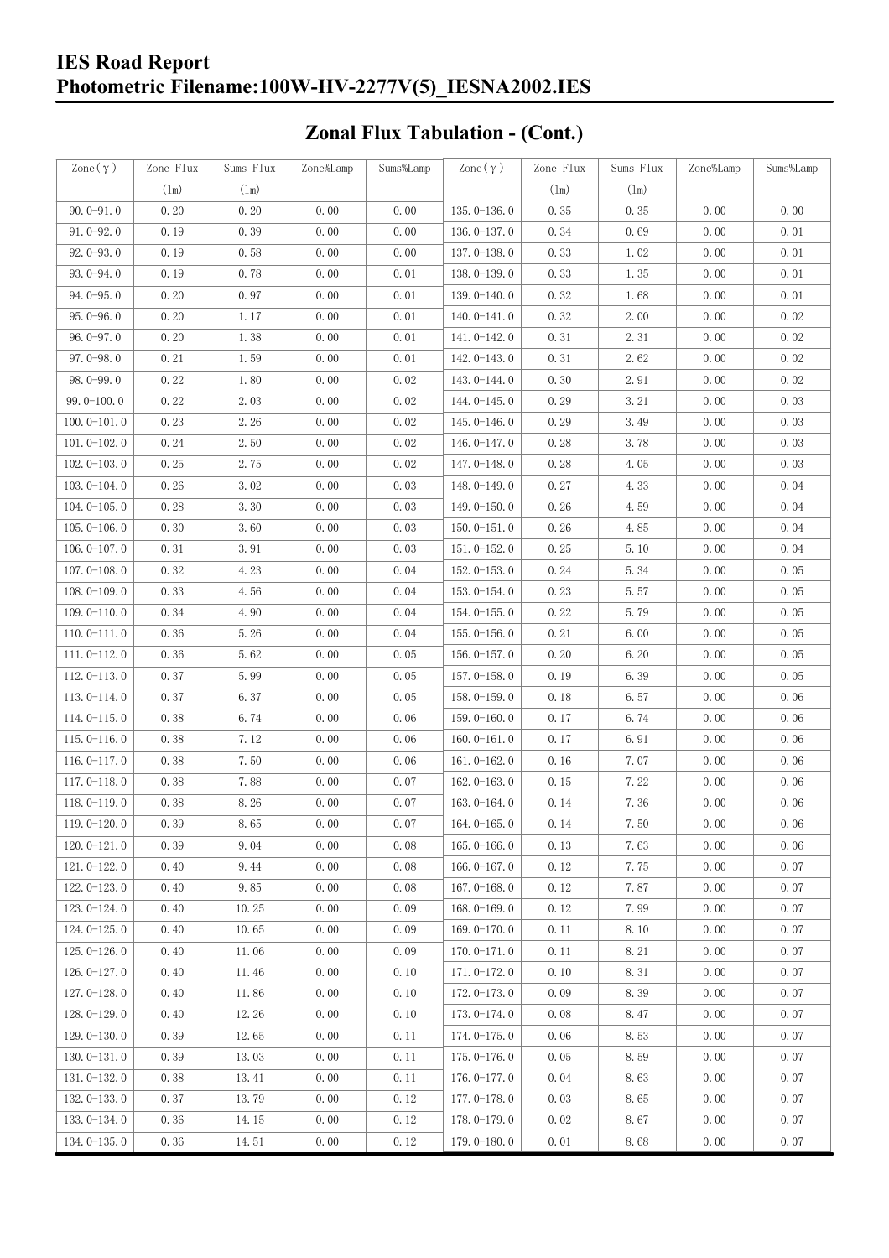## **IES Road Report Photometric Filename:100W-HV-2277V(5)\_IESNA2002.IES**

# **Zonal Flux Tabulation - (Cont.)**

| Zone $(\gamma)$ | Zone Flux | Sums Flux | Zone%Lamp | Sums%Lamp | $\text{Zone}(\gamma)$ | Zone Flux | Sums Flux | Zone%Lamp | Sums%Lamp |
|-----------------|-----------|-----------|-----------|-----------|-----------------------|-----------|-----------|-----------|-----------|
|                 | (1m)      | (1m)      |           |           |                       | $(\ln)$   | (1m)      |           |           |
| $90.0 - 91.0$   | 0.20      | 0.20      | 0.00      | 0.00      | $135.0 - 136.0$       | 0.35      | 0.35      | 0.00      | 0.00      |
| $91.0 - 92.0$   | 0.19      | 0.39      | 0.00      | 0.00      | 136.0-137.0           | 0.34      | 0.69      | 0.00      | 0.01      |
| $92.0 - 93.0$   | 0.19      | 0.58      | 0.00      | 0.00      | $137.0 - 138.0$       | 0.33      | 1.02      | 0.00      | 0.01      |
| $93.0 - 94.0$   | 0.19      | 0.78      | 0.00      | 0.01      | 138.0-139.0           | 0.33      | 1.35      | 0.00      | 0.01      |
| $94.0 - 95.0$   | 0.20      | 0.97      | 0.00      | 0.01      | 139.0-140.0           | 0.32      | 1.68      | 0.00      | 0.01      |
| $95.0 - 96.0$   | 0.20      | 1.17      | 0.00      | 0.01      | $140.0 - 141.0$       | 0.32      | 2.00      | 0.00      | 0.02      |
| $96.0 - 97.0$   | 0.20      | 1.38      | 0.00      | 0.01      | 141.0-142.0           | 0.31      | 2.31      | 0.00      | 0.02      |
| $97.0 - 98.0$   | 0.21      | 1.59      | 0.00      | 0.01      | 142.0-143.0           | 0.31      | 2.62      | 0.00      | 0.02      |
| $98.0 - 99.0$   | 0.22      | 1.80      | 0.00      | 0.02      | 143.0-144.0           | 0.30      | 2.91      | 0.00      | 0.02      |
| $99.0 - 100.0$  | 0.22      | 2.03      | 0.00      | 0.02      | 144.0-145.0           | 0.29      | 3.21      | 0.00      | 0.03      |
| $100.0 - 101.0$ | 0.23      | 2.26      | 0.00      | 0.02      | $145.0 - 146.0$       | 0.29      | 3.49      | 0.00      | 0.03      |
| $101.0 - 102.0$ | 0.24      | 2.50      | 0.00      | 0.02      | 146.0-147.0           | 0.28      | 3.78      | 0.00      | 0.03      |
| $102.0 - 103.0$ | 0.25      | 2.75      | 0.00      | 0.02      | $147.0 - 148.0$       | 0.28      | 4.05      | 0.00      | 0.03      |
| $103.0 - 104.0$ | 0.26      | 3.02      | 0.00      | 0.03      | 148.0-149.0           | 0.27      | 4.33      | 0.00      | 0.04      |
| $104.0 - 105.0$ | 0.28      | 3.30      | 0.00      | 0.03      | $149.0 - 150.0$       | 0.26      | 4.59      | 0.00      | 0.04      |
| $105.0 - 106.0$ | 0.30      | 3.60      | 0.00      | 0.03      | $150.0 - 151.0$       | 0.26      | 4.85      | 0.00      | 0.04      |
| $106.0 - 107.0$ | 0.31      | 3.91      | 0.00      | 0.03      | $151.0 - 152.0$       | 0.25      | 5.10      | 0.00      | 0.04      |
| $107.0 - 108.0$ | 0.32      | 4.23      | 0.00      | 0.04      | $152.0 - 153.0$       | 0.24      | 5.34      | 0.00      | 0.05      |
| $108.0 - 109.0$ | 0.33      | 4.56      | 0.00      | 0.04      | $153.0 - 154.0$       | 0.23      | 5.57      | 0.00      | 0.05      |
| $109.0 - 110.0$ | 0.34      | 4.90      | 0.00      | 0.04      | $154.0 - 155.0$       | 0.22      | 5.79      | 0.00      | 0.05      |
| $110.0 - 111.0$ | 0.36      | 5.26      | 0.00      | 0.04      | $155.0 - 156.0$       | 0.21      | 6.00      | 0.00      | 0.05      |
| $111.0 - 112.0$ | 0.36      | 5.62      | 0.00      | 0.05      | $156.0 - 157.0$       | 0.20      | 6.20      | 0.00      | 0.05      |
| $112.0 - 113.0$ | 0.37      | 5.99      | 0.00      | 0.05      | $157.0 - 158.0$       | 0.19      | 6.39      | 0.00      | 0.05      |
| $113.0 - 114.0$ | 0.37      | 6.37      | 0.00      | 0.05      | $158.0 - 159.0$       | 0.18      | 6.57      | 0.00      | 0.06      |
| $114.0 - 115.0$ | 0.38      | 6.74      | 0.00      | 0.06      | $159.0 - 160.0$       | 0.17      | 6.74      | 0.00      | 0.06      |
| $115.0 - 116.0$ | 0.38      | 7.12      | 0.00      | 0.06      | $160.0 - 161.0$       | 0.17      | 6.91      | 0.00      | 0.06      |
| $116.0 - 117.0$ | 0.38      | 7.50      | 0.00      | 0.06      | $161.0 - 162.0$       | 0.16      | 7.07      | 0.00      | 0.06      |
| $117.0 - 118.0$ | 0.38      | 7.88      | 0.00      | 0.07      | $162.0 - 163.0$       | 0.15      | 7.22      | 0.00      | 0.06      |
| $118.0 - 119.0$ | 0.38      | 8.26      | 0.00      | 0.07      | $163.0 - 164.0$       | 0.14      | 7.36      | 0.00      | 0.06      |
| 119.0-120.0     | 0.39      | 8.65      | 0.00      | 0.07      | 164.0-165.0           | 0.14      | 7.50      | 0.00      | 0.06      |
| $120.0 - 121.0$ | 0.39      | 9.04      | 0.00      | 0.08      | $165.0 - 166.0$       | 0.13      | 7.63      | 0.00      | 0.06      |
| $121.0 - 122.0$ | 0.40      | 9.44      | 0.00      | 0.08      | $166.0 - 167.0$       | 0.12      | 7.75      | 0.00      | 0.07      |
| $122.0 - 123.0$ | 0.40      | 9.85      | 0.00      | 0.08      | $167.0 - 168.0$       | 0.12      | 7.87      | 0.00      | 0.07      |
| $123.0 - 124.0$ | 0.40      | 10.25     | 0.00      | 0.09      | $168.0 - 169.0$       | 0.12      | 7.99      | 0.00      | 0.07      |
| $124.0 - 125.0$ | 0.40      | 10.65     | 0.00      | 0.09      | $169.0 - 170.0$       | 0.11      | 8.10      | 0.00      | 0.07      |
| $125.0 - 126.0$ | 0.40      | 11.06     | 0.00      | 0.09      | $170.0 - 171.0$       | 0.11      | 8.21      | 0.00      | 0.07      |
| $126.0 - 127.0$ | 0.40      | 11.46     | 0.00      | 0.10      | $171.0 - 172.0$       | 0.10      | 8.31      | 0.00      | 0.07      |
| $127.0 - 128.0$ | 0.40      | 11.86     | 0.00      | 0.10      | $172.0 - 173.0$       | 0.09      | 8.39      | 0.00      | 0.07      |
| $128.0 - 129.0$ | 0.40      | 12.26     | 0.00      | 0.10      | $173.0 - 174.0$       | 0.08      | 8.47      | 0.00      | 0.07      |
| $129.0 - 130.0$ | 0.39      | 12.65     | 0.00      | 0.11      | 174.0-175.0           | 0.06      | 8.53      | 0.00      | 0.07      |
| $130.0 - 131.0$ | 0.39      | 13.03     | 0.00      | 0.11      | $175.0 - 176.0$       | 0.05      | 8.59      | 0.00      | 0.07      |
| $131.0 - 132.0$ | 0.38      | 13.41     | 0.00      | 0.11      | $176.0 - 177.0$       | 0.04      | 8.63      | 0.00      | 0.07      |
| $132.0 - 133.0$ | 0.37      | 13.79     | 0.00      | 0.12      | $177.0 - 178.0$       | 0.03      | 8.65      | 0.00      | 0.07      |
| $133.0 - 134.0$ | 0.36      | 14.15     | 0.00      | 0.12      | 178.0-179.0           | 0.02      | 8.67      | 0.00      | 0.07      |
| $134.0 - 135.0$ | 0.36      | 14.51     | 0.00      | 0.12      | $179.0 - 180.0$       | 0.01      | 8.68      | 0.00      | 0.07      |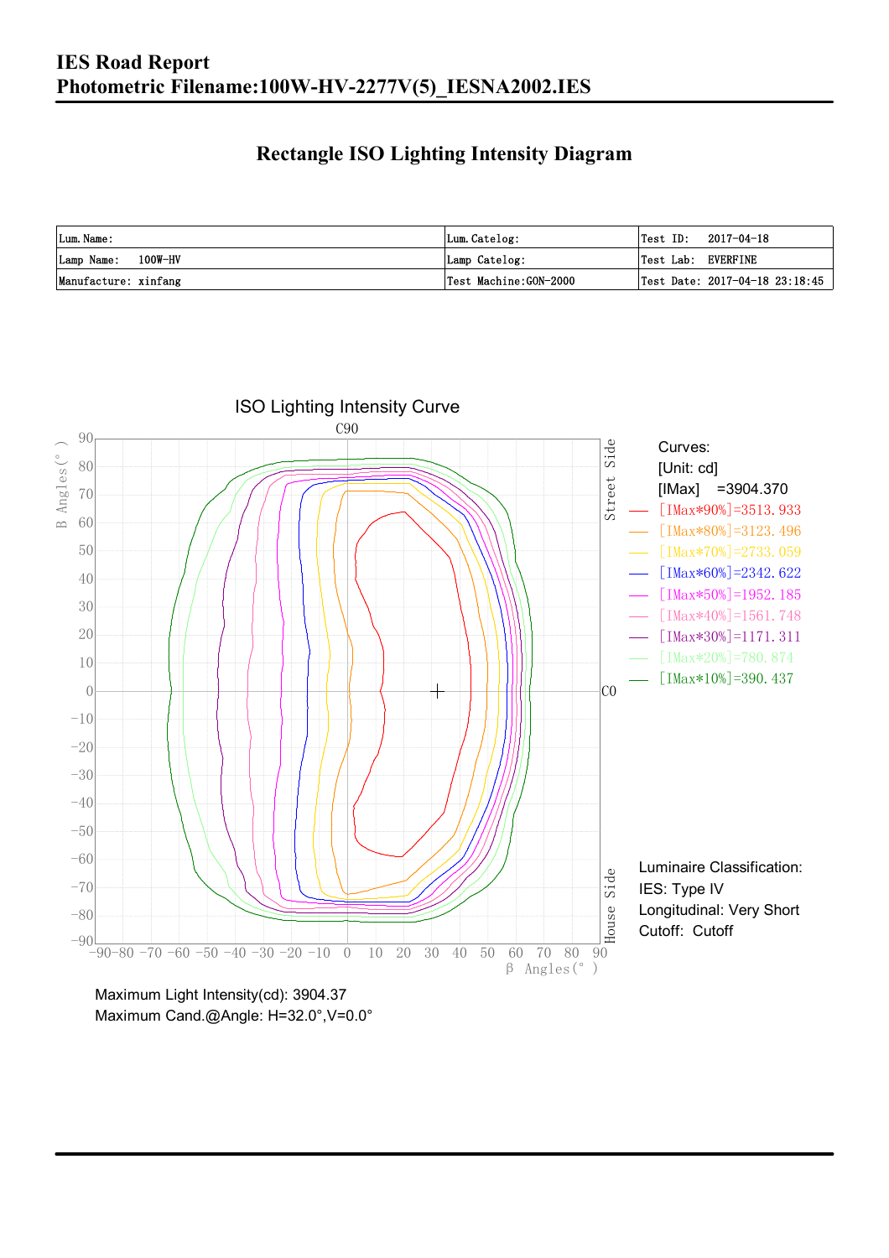### **Rectangle ISO Lighting Intensity Diagram**

| Lum. Name:           | Lum.Catelog:          | $\textsf{Test ID:} \quad 2017-04-18$ |
|----------------------|-----------------------|--------------------------------------|
| Lamp Name: 100W-HV   | Lamp Catelog:         | Test Lab: EVERFINE                   |
| Manufacture: xinfang | Test Machine:GON-2000 | Test Date: 2017-04-18 23:18:45       |



Maximum Cand.@Angle: H=32.0°,V=0.0°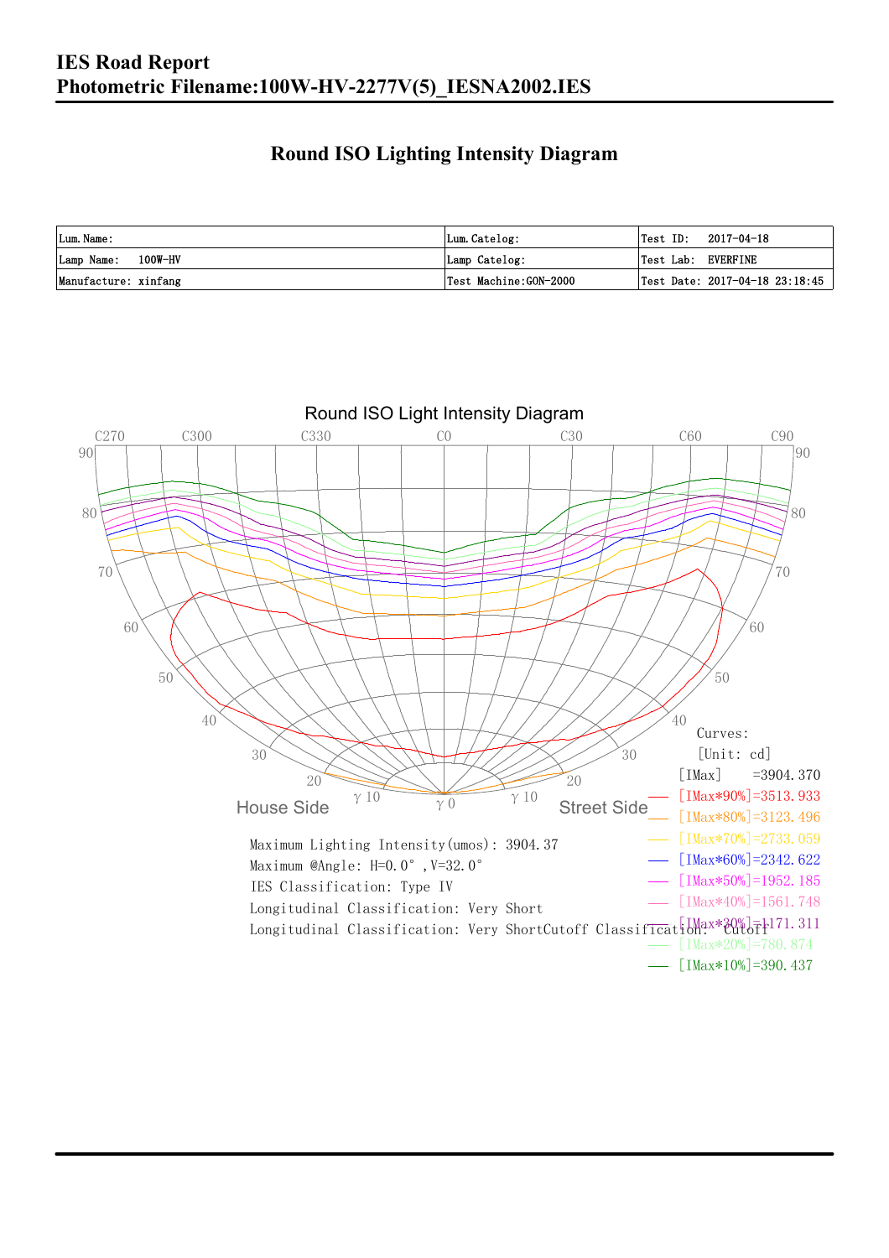### **Round ISO Lighting Intensity Diagram**

| Lum. Name:           | Lum.Catelog:          |                    | $\textsf{Test ID:} \quad 2017-04-18$ |
|----------------------|-----------------------|--------------------|--------------------------------------|
| Lamp Name: 100W-HV   | Lamp Catelog:         | Test Lab: EVERFINE |                                      |
| Manufacture: xinfang | Test Machine:GON-2000 |                    | Test Date: 2017-04-18 23:18:45       |

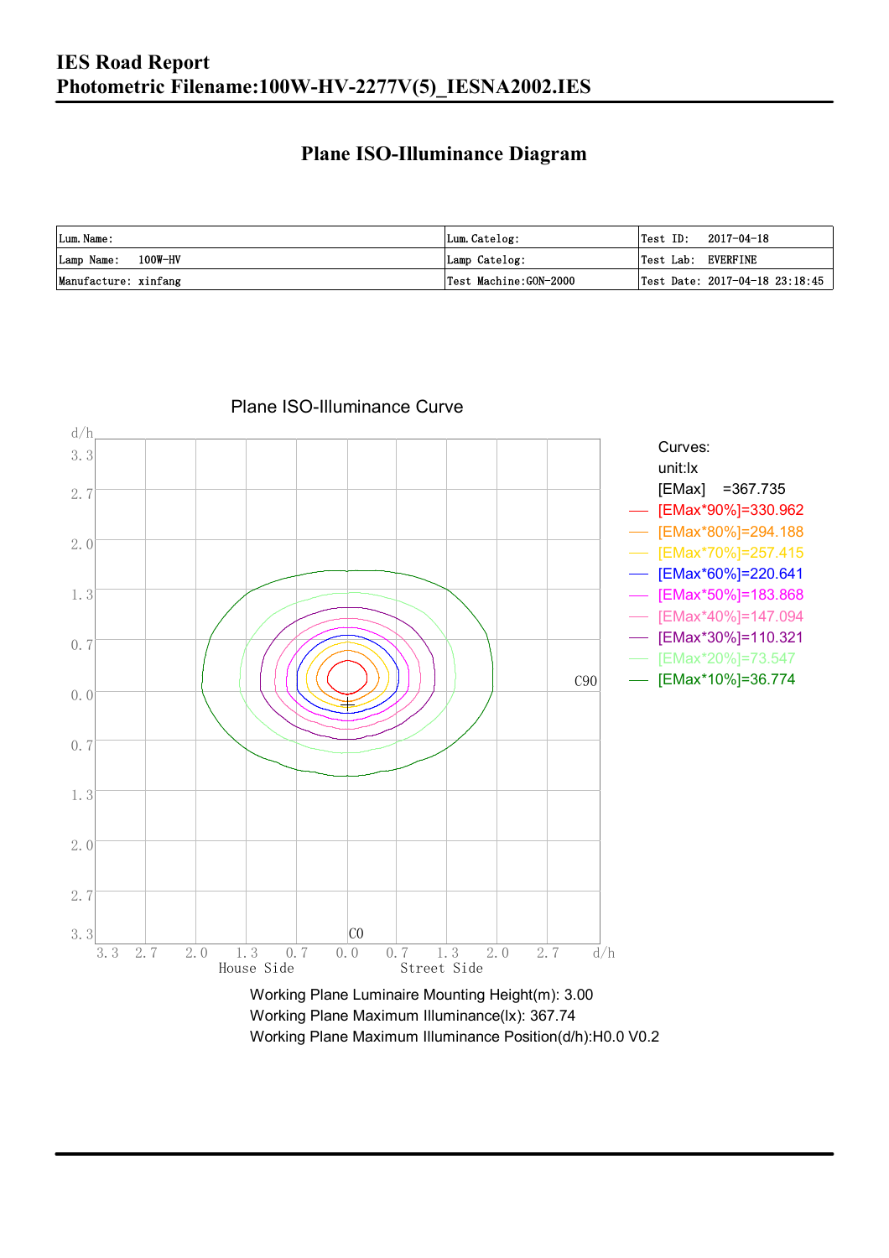### **Plane ISO-Illuminance Diagram**

| Lum. Name:           | Lum.Catelog:          | Test ID:<br>2017-04-18             |
|----------------------|-----------------------|------------------------------------|
| Lamp Name: 100W-HV   | Lamp Catelog:         | Test Lab: EVERFINE                 |
| Manufacture: xinfang | Test Machine:GON-2000 | Test Date: $2017-04-18$ $23:18:45$ |



#### Plane ISO-Illuminance Curve

Working Plane Maximum Illuminance(lx): 367.74 Working Plane Maximum Illuminance Position(d/h):H0.0 V0.2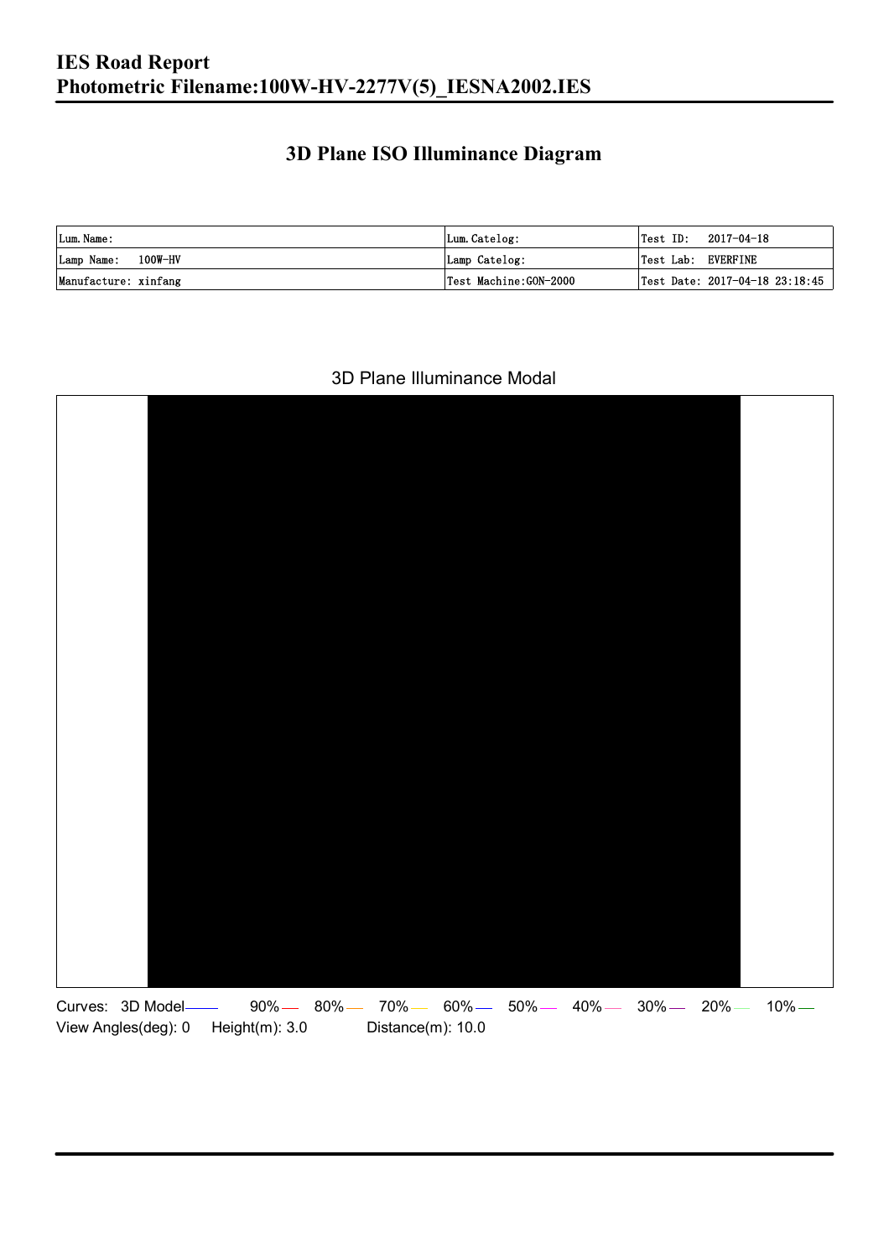### **3D Plane ISO Illuminance Diagram**

| Lum. Name:           | Lum.Catelog:          |                    | $\textsf{Test ID:} \quad 2017-04-18$ |
|----------------------|-----------------------|--------------------|--------------------------------------|
| Lamp Name: 100W-HV   | Lamp Catelog:         | Test Lab: EVERFINE |                                      |
| Manufacture: xinfang | Test Machine:GON-2000 |                    | Test Date: 2017-04-18 23:18:45       |

#### 3D Plane Illuminance Modal

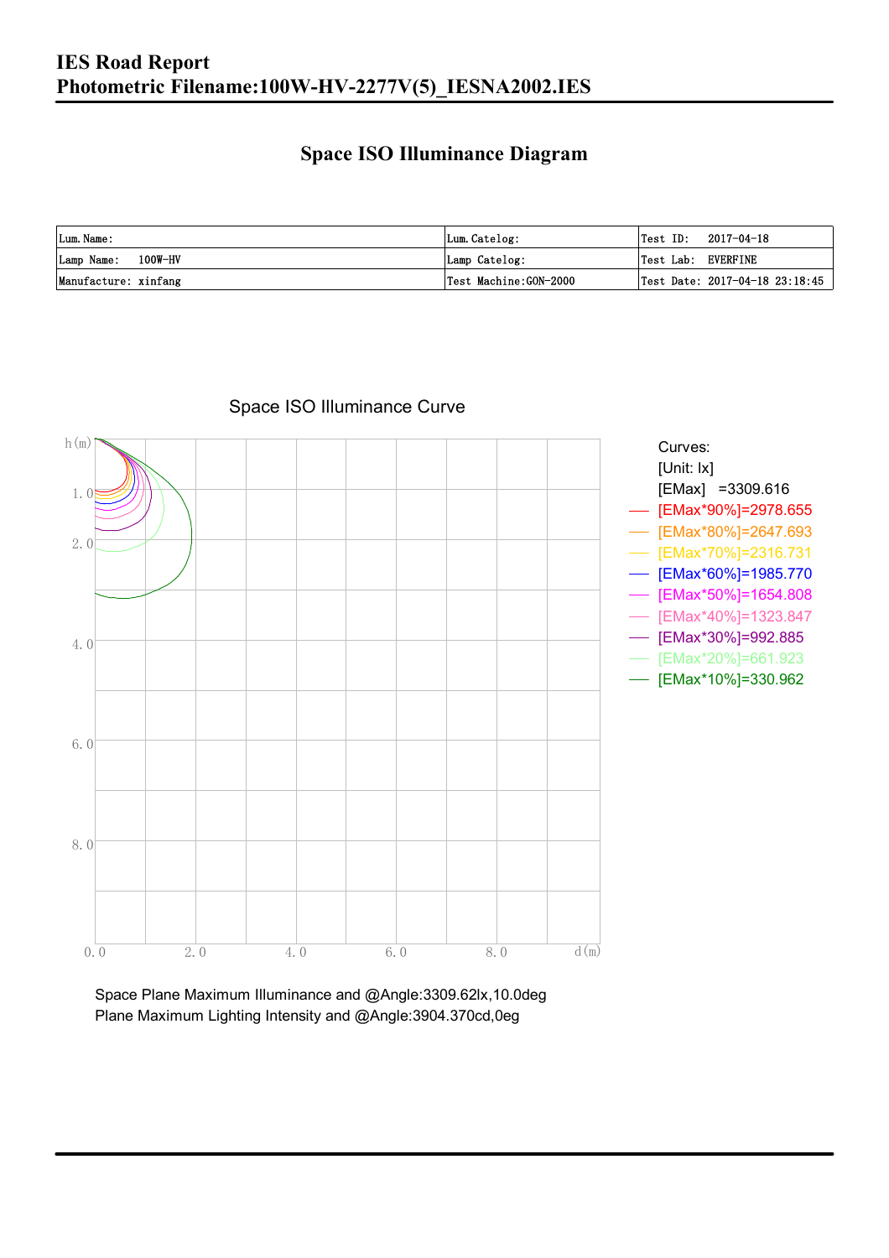### **Space ISO Illuminance Diagram**

| Lum. Name:           | Lum.Catelog:          | $\textsf{Test ID:} \quad 2017-04-18$           |
|----------------------|-----------------------|------------------------------------------------|
| Lamp Name: 100W-HV   | Lamp Catelog:         | Test Lab: EVERFINE                             |
| Manufacture: xinfang | Test Machine:GON-2000 | $\vert$ Test Date: 2017-04-18 23:18:45 $\vert$ |



Space ISO Illuminance Curve

Space Plane Maximum Illuminance and @Angle:3309.62lx,10.0deg Plane Maximum Lighting Intensity and @Angle:3904.370cd,0eg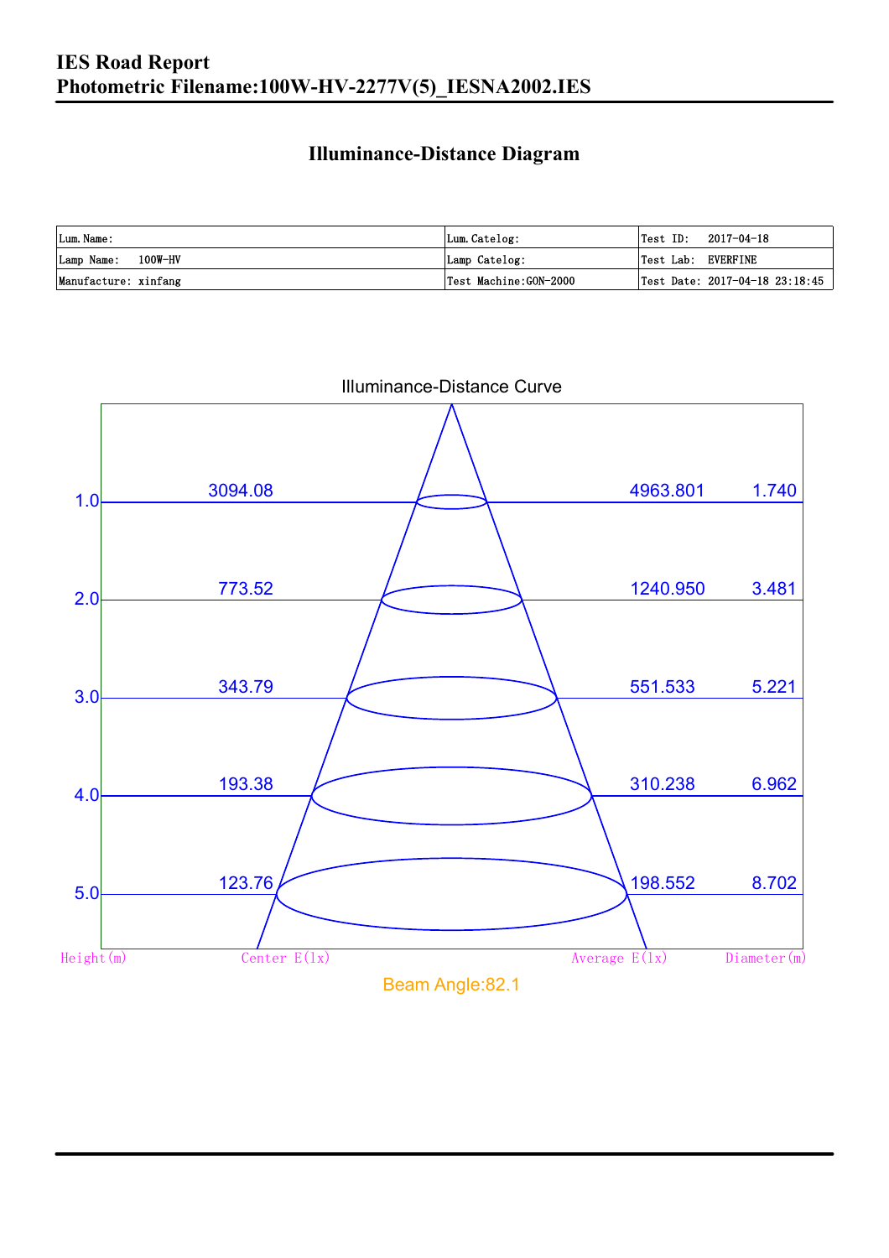### **Illuminance-Distance Diagram**

| Lum. Name:           | Lum.Catelog:          | Test ID:           | 2017-04-18                         |
|----------------------|-----------------------|--------------------|------------------------------------|
| Lamp Name: 100W-HV   | Lamp Catelog:         | Test Lab: EVERFINE |                                    |
| Manufacture: xinfang | Test Machine:GON-2000 |                    | Test Date: $2017-04-18$ $23:18:45$ |



Illuminance-Distance Curve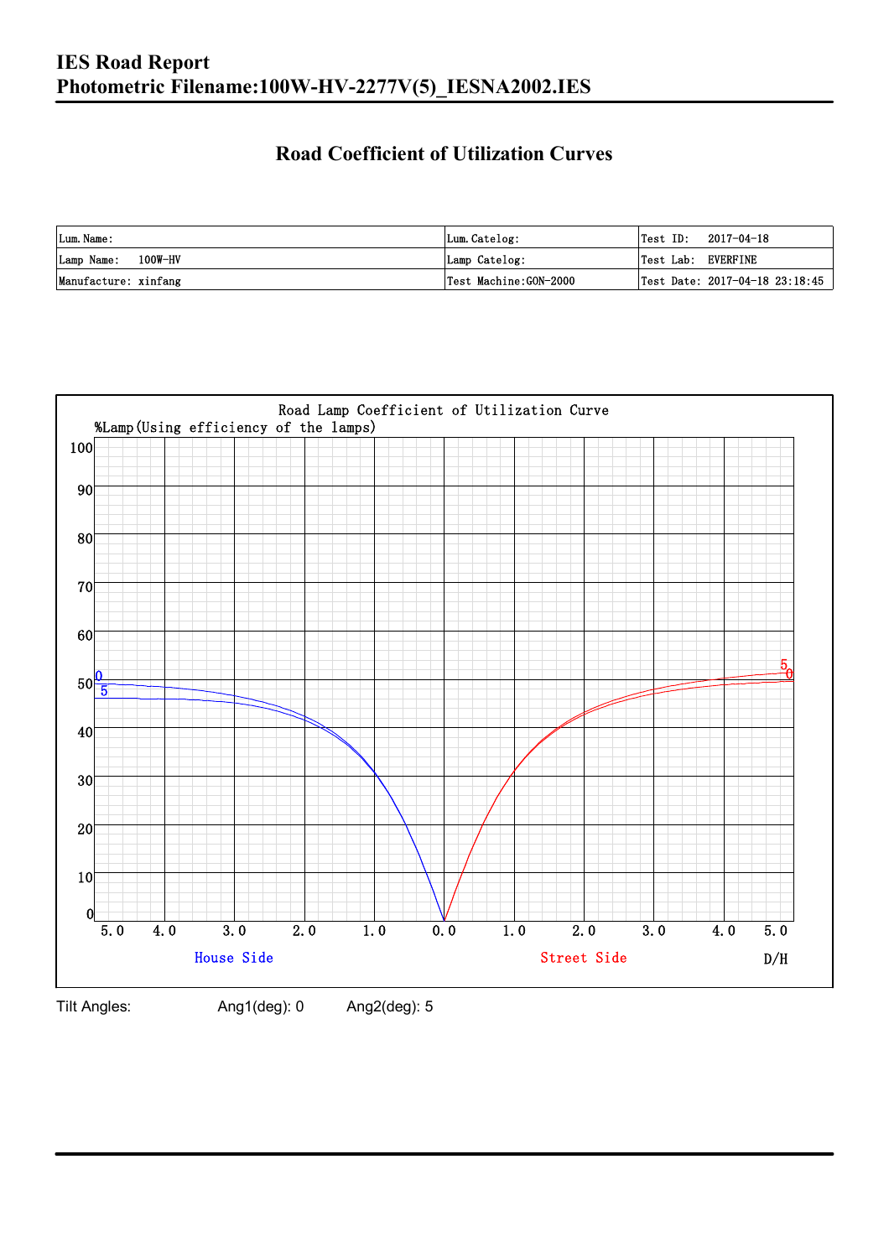### **Road Coefficient of Utilization Curves**

| Lum. Name:           | Lum.Catelog:          | $\textsf{Test ID:} \quad 2017-04-18$ |  |
|----------------------|-----------------------|--------------------------------------|--|
| Lamp Name: 100W-HV   | Lamp Catelog:         | Test Lab: EVERFINE                   |  |
| Manufacture: xinfang | Test Machine:GON-2000 | Test Date: 2017-04-18 23:18:45       |  |



Tilt Angles: Ang1(deg): 0 Ang2(deg): 5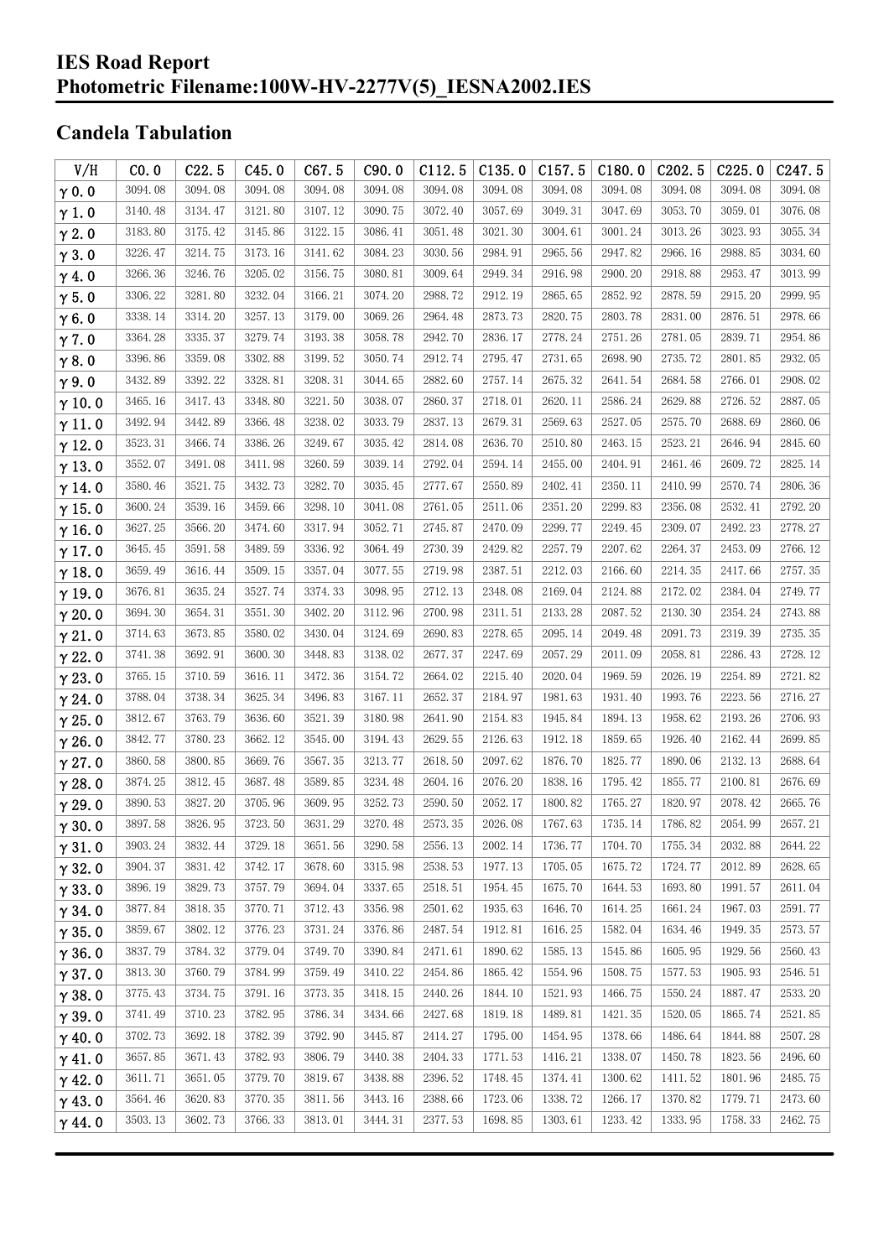#### **IES Road Report Photometric Filename:100W-HV-2277V(5)\_IESNA2002.IES**

## **Candela Tabulation**

| V/H           | CO.0    | C22.5   | C45.0   | C67.5   | C90.0   | C112.5  | C135.0  | C157.5  | C180.0  | C202.5  | C225.0  | C247.5  |
|---------------|---------|---------|---------|---------|---------|---------|---------|---------|---------|---------|---------|---------|
| $\gamma$ 0.0  | 3094.08 | 3094.08 | 3094.08 | 3094.08 | 3094.08 | 3094.08 | 3094.08 | 3094.08 | 3094.08 | 3094.08 | 3094.08 | 3094.08 |
| $\gamma$ 1.0  | 3140.48 | 3134.47 | 3121.80 | 3107.12 | 3090.75 | 3072.40 | 3057.69 | 3049.31 | 3047.69 | 3053.70 | 3059.01 | 3076.08 |
| $\gamma$ 2.0  | 3183.80 | 3175.42 | 3145.86 | 3122.15 | 3086.41 | 3051.48 | 3021.30 | 3004.61 | 3001.24 | 3013.26 | 3023.93 | 3055.34 |
| $\gamma$ 3.0  | 3226.47 | 3214.75 | 3173.16 | 3141.62 | 3084.23 | 3030.56 | 2984.91 | 2965.56 | 2947.82 | 2966.16 | 2988.85 | 3034.60 |
| $\gamma$ 4.0  | 3266.36 | 3246.76 | 3205.02 | 3156.75 | 3080.81 | 3009.64 | 2949.34 | 2916.98 | 2900.20 | 2918.88 | 2953.47 | 3013.99 |
| $\gamma$ 5.0  | 3306.22 | 3281.80 | 3232.04 | 3166.21 | 3074.20 | 2988.72 | 2912.19 | 2865.65 | 2852.92 | 2878.59 | 2915.20 | 2999.95 |
| $\gamma$ 6.0  | 3338.14 | 3314.20 | 3257.13 | 3179.00 | 3069.26 | 2964.48 | 2873.73 | 2820.75 | 2803.78 | 2831.00 | 2876.51 | 2978.66 |
| $\gamma$ 7.0  | 3364.28 | 3335.37 | 3279.74 | 3193.38 | 3058.78 | 2942.70 | 2836.17 | 2778.24 | 2751.26 | 2781.05 | 2839.71 | 2954.86 |
| $\gamma$ 8.0  | 3396.86 | 3359.08 | 3302.88 | 3199.52 | 3050.74 | 2912.74 | 2795.47 | 2731.65 | 2698.90 | 2735.72 | 2801.85 | 2932.05 |
| $\gamma$ 9.0  | 3432.89 | 3392.22 | 3328.81 | 3208.31 | 3044.65 | 2882.60 | 2757.14 | 2675.32 | 2641.54 | 2684.58 | 2766.01 | 2908.02 |
| $\gamma$ 10.0 | 3465.16 | 3417.43 | 3348.80 | 3221.50 | 3038.07 | 2860.37 | 2718.01 | 2620.11 | 2586.24 | 2629.88 | 2726.52 | 2887.05 |
| $\gamma$ 11.0 | 3492.94 | 3442.89 | 3366.48 | 3238.02 | 3033.79 | 2837.13 | 2679.31 | 2569.63 | 2527.05 | 2575.70 | 2688.69 | 2860.06 |
| $\gamma$ 12.0 | 3523.31 | 3466.74 | 3386.26 | 3249.67 | 3035.42 | 2814.08 | 2636.70 | 2510.80 | 2463.15 | 2523.21 | 2646.94 | 2845.60 |
| $\gamma$ 13.0 | 3552.07 | 3491.08 | 3411.98 | 3260.59 | 3039.14 | 2792.04 | 2594.14 | 2455.00 | 2404.91 | 2461.46 | 2609.72 | 2825.14 |
| $\gamma$ 14.0 | 3580.46 | 3521.75 | 3432.73 | 3282.70 | 3035.45 | 2777.67 | 2550.89 | 2402.41 | 2350.11 | 2410.99 | 2570.74 | 2806.36 |
| $\gamma$ 15.0 | 3600.24 | 3539.16 | 3459.66 | 3298.10 | 3041.08 | 2761.05 | 2511.06 | 2351.20 | 2299.83 | 2356.08 | 2532.41 | 2792.20 |
| $\gamma$ 16.0 | 3627.25 | 3566.20 | 3474.60 | 3317.94 | 3052.71 | 2745.87 | 2470.09 | 2299.77 | 2249.45 | 2309.07 | 2492.23 | 2778.27 |
| $\gamma$ 17.0 | 3645.45 | 3591.58 | 3489.59 | 3336.92 | 3064.49 | 2730.39 | 2429.82 | 2257.79 | 2207.62 | 2264.37 | 2453.09 | 2766.12 |
| $\gamma$ 18.0 | 3659.49 | 3616.44 | 3509.15 | 3357.04 | 3077.55 | 2719.98 | 2387.51 | 2212.03 | 2166.60 | 2214.35 | 2417.66 | 2757.35 |
| $\gamma$ 19.0 | 3676.81 | 3635.24 | 3527.74 | 3374.33 | 3098.95 | 2712.13 | 2348.08 | 2169.04 | 2124.88 | 2172.02 | 2384.04 | 2749.77 |
| $\gamma$ 20.0 | 3694.30 | 3654.31 | 3551.30 | 3402.20 | 3112.96 | 2700.98 | 2311.51 | 2133.28 | 2087.52 | 2130.30 | 2354.24 | 2743.88 |
| $\gamma$ 21.0 | 3714.63 | 3673.85 | 3580.02 | 3430.04 | 3124.69 | 2690.83 | 2278.65 | 2095.14 | 2049.48 | 2091.73 | 2319.39 | 2735.35 |
| $\gamma$ 22.0 | 3741.38 | 3692.91 | 3600.30 | 3448.83 | 3138.02 | 2677.37 | 2247.69 | 2057.29 | 2011.09 | 2058.81 | 2286.43 | 2728.12 |
| $\gamma$ 23.0 | 3765.15 | 3710.59 | 3616.11 | 3472.36 | 3154.72 | 2664.02 | 2215.40 | 2020.04 | 1969.59 | 2026.19 | 2254.89 | 2721.82 |
| $\gamma$ 24.0 | 3788.04 | 3738.34 | 3625.34 | 3496.83 | 3167.11 | 2652.37 | 2184.97 | 1981.63 | 1931.40 | 1993.76 | 2223.56 | 2716.27 |
| $\gamma$ 25.0 | 3812.67 | 3763.79 | 3636.60 | 3521.39 | 3180.98 | 2641.90 | 2154.83 | 1945.84 | 1894.13 | 1958.62 | 2193.26 | 2706.93 |
| $\gamma$ 26.0 | 3842.77 | 3780.23 | 3662.12 | 3545.00 | 3194.43 | 2629.55 | 2126.63 | 1912.18 | 1859.65 | 1926.40 | 2162.44 | 2699.85 |
| $\gamma$ 27.0 | 3860.58 | 3800.85 | 3669.76 | 3567.35 | 3213.77 | 2618.50 | 2097.62 | 1876.70 | 1825.77 | 1890.06 | 2132.13 | 2688.64 |
| $\gamma$ 28.0 | 3874.25 | 3812.45 | 3687.48 | 3589.85 | 3234.48 | 2604.16 | 2076.20 | 1838.16 | 1795.42 | 1855.77 | 2100.81 | 2676.69 |
| $\gamma$ 29.0 | 3890.53 | 3827.20 | 3705.96 | 3609.95 | 3252.73 | 2590.50 | 2052.17 | 1800.82 | 1765.27 | 1820.97 | 2078.42 | 2665.76 |
| $\gamma$ 30.0 | 3897.58 | 3826.95 | 3723.50 | 3631.29 | 3270.48 | 2573.35 | 2026.08 | 1767.63 | 1735.14 | 1786.82 | 2054.99 | 2657.21 |
| $\gamma$ 31.0 | 3903.24 | 3832.44 | 3729.18 | 3651.56 | 3290.58 | 2556.13 | 2002.14 | 1736.77 | 1704.70 | 1755.34 | 2032.88 | 2644.22 |
| $\gamma$ 32.0 | 3904.37 | 3831.42 | 3742.17 | 3678.60 | 3315.98 | 2538.53 | 1977.13 | 1705.05 | 1675.72 | 1724.77 | 2012.89 | 2628.65 |
| $\gamma$ 33.0 | 3896.19 | 3829.73 | 3757.79 | 3694.04 | 3337.65 | 2518.51 | 1954.45 | 1675.70 | 1644.53 | 1693.80 | 1991.57 | 2611.04 |
| $\gamma$ 34.0 | 3877.84 | 3818.35 | 3770.71 | 3712.43 | 3356.98 | 2501.62 | 1935.63 | 1646.70 | 1614.25 | 1661.24 | 1967.03 | 2591.77 |
| $\gamma$ 35.0 | 3859.67 | 3802.12 | 3776.23 | 3731.24 | 3376.86 | 2487.54 | 1912.81 | 1616.25 | 1582.04 | 1634.46 | 1949.35 | 2573.57 |
| $\gamma$ 36.0 | 3837.79 | 3784.32 | 3779.04 | 3749.70 | 3390.84 | 2471.61 | 1890.62 | 1585.13 | 1545.86 | 1605.95 | 1929.56 | 2560.43 |
| $\gamma$ 37.0 | 3813.30 | 3760.79 | 3784.99 | 3759.49 | 3410.22 | 2454.86 | 1865.42 | 1554.96 | 1508.75 | 1577.53 | 1905.93 | 2546.51 |
| $\gamma$ 38.0 | 3775.43 | 3734.75 | 3791.16 | 3773.35 | 3418.15 | 2440.26 | 1844.10 | 1521.93 | 1466.75 | 1550.24 | 1887.47 | 2533.20 |
| $\gamma$ 39.0 | 3741.49 | 3710.23 | 3782.95 | 3786.34 | 3434.66 | 2427.68 | 1819.18 | 1489.81 | 1421.35 | 1520.05 | 1865.74 | 2521.85 |
| $\gamma$ 40.0 | 3702.73 | 3692.18 | 3782.39 | 3792.90 | 3445.87 | 2414.27 | 1795.00 | 1454.95 | 1378.66 | 1486.64 | 1844.88 | 2507.28 |
| $\gamma$ 41.0 | 3657.85 | 3671.43 | 3782.93 | 3806.79 | 3440.38 | 2404.33 | 1771.53 | 1416.21 | 1338.07 | 1450.78 | 1823.56 | 2496.60 |
| $\gamma$ 42.0 | 3611.71 | 3651.05 | 3779.70 | 3819.67 | 3438.88 | 2396.52 | 1748.45 | 1374.41 | 1300.62 | 1411.52 | 1801.96 | 2485.75 |
| $\gamma$ 43.0 | 3564.46 | 3620.83 | 3770.35 | 3811.56 | 3443.16 | 2388.66 | 1723.06 | 1338.72 | 1266.17 | 1370.82 | 1779.71 | 2473.60 |
| $\gamma$ 44.0 | 3503.13 | 3602.73 | 3766.33 | 3813.01 | 3444.31 | 2377.53 | 1698.85 | 1303.61 | 1233.42 | 1333.95 | 1758.33 | 2462.75 |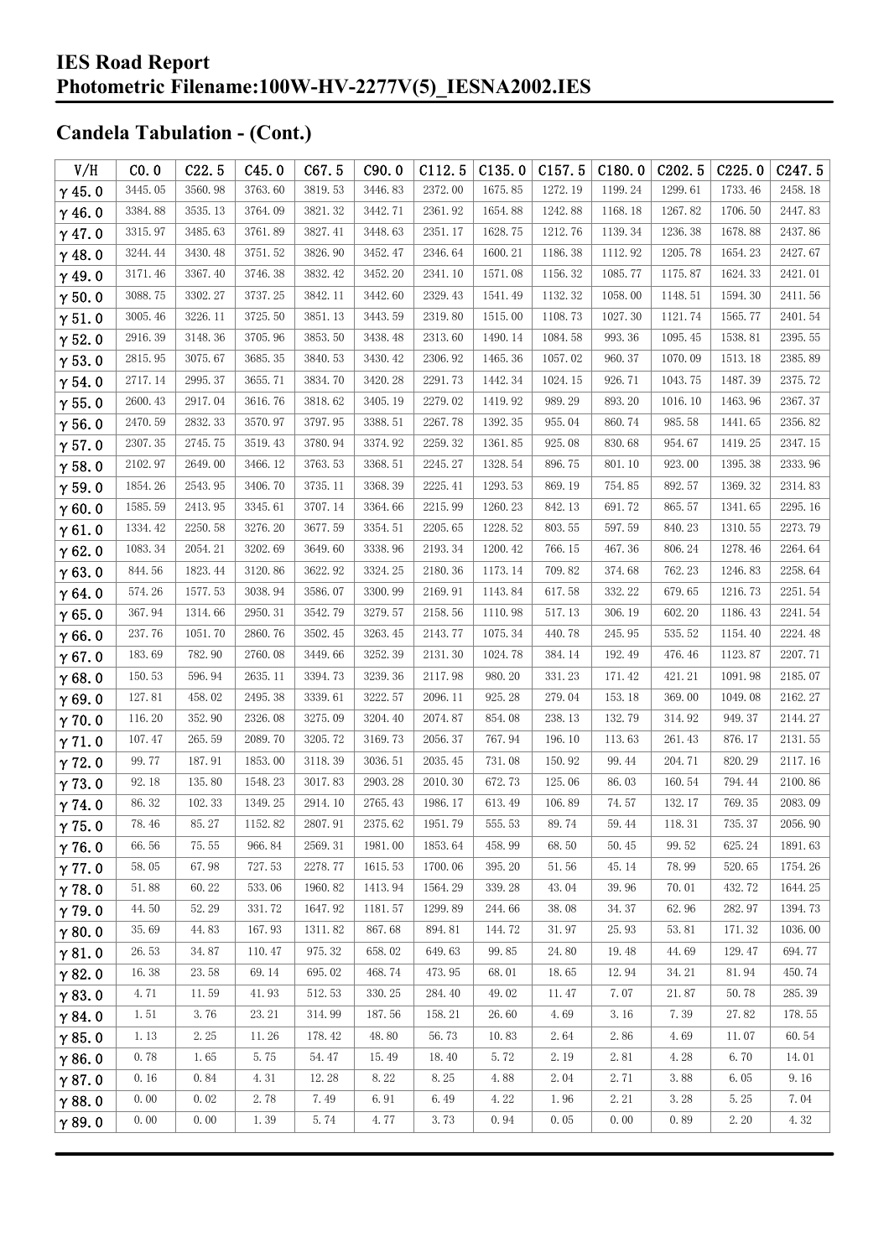| V/H           | CO.0     | C22.5   | C45.0   | C67.5   | C90.0   | C112.5  | C135.0  | C157.5  | C180.0  | C <sub>202.5</sub> | C225.0  | C <sub>247.5</sub> |
|---------------|----------|---------|---------|---------|---------|---------|---------|---------|---------|--------------------|---------|--------------------|
| $\gamma$ 45.0 | 3445.05  | 3560.98 | 3763.60 | 3819.53 | 3446.83 | 2372.00 | 1675.85 | 1272.19 | 1199.24 | 1299.61            | 1733.46 | 2458.18            |
| $\gamma$ 46.0 | 3384.88  | 3535.13 | 3764.09 | 3821.32 | 3442.71 | 2361.92 | 1654.88 | 1242.88 | 1168.18 | 1267.82            | 1706.50 | 2447.83            |
| $\gamma$ 47.0 | 3315.97  | 3485.63 | 3761.89 | 3827.41 | 3448.63 | 2351.17 | 1628.75 | 1212.76 | 1139.34 | 1236.38            | 1678.88 | 2437.86            |
| $\gamma$ 48.0 | 3244.44  | 3430.48 | 3751.52 | 3826.90 | 3452.47 | 2346.64 | 1600.21 | 1186.38 | 1112.92 | 1205.78            | 1654.23 | 2427.67            |
| $\gamma$ 49.0 | 3171.46  | 3367.40 | 3746.38 | 3832.42 | 3452.20 | 2341.10 | 1571.08 | 1156.32 | 1085.77 | 1175.87            | 1624.33 | 2421.01            |
| $\gamma$ 50.0 | 3088.75  | 3302.27 | 3737.25 | 3842.11 | 3442.60 | 2329.43 | 1541.49 | 1132.32 | 1058.00 | 1148.51            | 1594.30 | 2411.56            |
| $\gamma$ 51.0 | 3005.46  | 3226.11 | 3725.50 | 3851.13 | 3443.59 | 2319.80 | 1515.00 | 1108.73 | 1027.30 | 1121.74            | 1565.77 | 2401.54            |
| $\gamma$ 52.0 | 2916.39  | 3148.36 | 3705.96 | 3853.50 | 3438.48 | 2313.60 | 1490.14 | 1084.58 | 993.36  | 1095.45            | 1538.81 | 2395.55            |
| $\gamma$ 53.0 | 2815.95  | 3075.67 | 3685.35 | 3840.53 | 3430.42 | 2306.92 | 1465.36 | 1057.02 | 960.37  | 1070.09            | 1513.18 | 2385.89            |
| $\gamma$ 54.0 | 2717.14  | 2995.37 | 3655.71 | 3834.70 | 3420.28 | 2291.73 | 1442.34 | 1024.15 | 926.71  | 1043.75            | 1487.39 | 2375.72            |
| $\gamma$ 55.0 | 2600.43  | 2917.04 | 3616.76 | 3818.62 | 3405.19 | 2279.02 | 1419.92 | 989.29  | 893.20  | 1016.10            | 1463.96 | 2367.37            |
| $\gamma$ 56.0 | 2470.59  | 2832.33 | 3570.97 | 3797.95 | 3388.51 | 2267.78 | 1392.35 | 955.04  | 860.74  | 985.58             | 1441.65 | 2356.82            |
| $\gamma$ 57.0 | 2307.35  | 2745.75 | 3519.43 | 3780.94 | 3374.92 | 2259.32 | 1361.85 | 925.08  | 830.68  | 954.67             | 1419.25 | 2347.15            |
| $\gamma$ 58.0 | 2102.97  | 2649.00 | 3466.12 | 3763.53 | 3368.51 | 2245.27 | 1328.54 | 896.75  | 801.10  | 923.00             | 1395.38 | 2333.96            |
| $\gamma$ 59.0 | 1854.26  | 2543.95 | 3406.70 | 3735.11 | 3368.39 | 2225.41 | 1293.53 | 869.19  | 754.85  | 892.57             | 1369.32 | 2314.83            |
| $\gamma$ 60.0 | 1585.59  | 2413.95 | 3345.61 | 3707.14 | 3364.66 | 2215.99 | 1260.23 | 842.13  | 691.72  | 865.57             | 1341.65 | 2295.16            |
| $\gamma$ 61.0 | 1334.42  | 2250.58 | 3276.20 | 3677.59 | 3354.51 | 2205.65 | 1228.52 | 803.55  | 597.59  | 840.23             | 1310.55 | 2273.79            |
| $\gamma$ 62.0 | 1083.34  | 2054.21 | 3202.69 | 3649.60 | 3338.96 | 2193.34 | 1200.42 | 766.15  | 467.36  | 806.24             | 1278.46 | 2264.64            |
| $\gamma$ 63.0 | 844.56   | 1823.44 | 3120.86 | 3622.92 | 3324.25 | 2180.36 | 1173.14 | 709.82  | 374.68  | 762.23             | 1246.83 | 2258.64            |
| $\gamma$ 64.0 | 574.26   | 1577.53 | 3038.94 | 3586.07 | 3300.99 | 2169.91 | 1143.84 | 617.58  | 332.22  | 679.65             | 1216.73 | 2251.54            |
| $\gamma$ 65.0 | 367.94   | 1314.66 | 2950.31 | 3542.79 | 3279.57 | 2158.56 | 1110.98 | 517.13  | 306.19  | 602.20             | 1186.43 | 2241.54            |
| $\gamma$ 66.0 | 237.76   | 1051.70 | 2860.76 | 3502.45 | 3263.45 | 2143.77 | 1075.34 | 440.78  | 245.95  | 535.52             | 1154.40 | 2224.48            |
| $\gamma$ 67.0 | 183.69   | 782.90  | 2760.08 | 3449.66 | 3252.39 | 2131.30 | 1024.78 | 384.14  | 192.49  | 476.46             | 1123.87 | 2207.71            |
| $\gamma$ 68.0 | 150.53   | 596.94  | 2635.11 | 3394.73 | 3239.36 | 2117.98 | 980.20  | 331.23  | 171.42  | 421.21             | 1091.98 | 2185.07            |
| $\gamma$ 69.0 | 127.81   | 458.02  | 2495.38 | 3339.61 | 3222.57 | 2096.11 | 925.28  | 279.04  | 153.18  | 369.00             | 1049.08 | 2162.27            |
| $\gamma$ 70.0 | 116.20   | 352.90  | 2326.08 | 3275.09 | 3204.40 | 2074.87 | 854.08  | 238.13  | 132.79  | 314.92             | 949.37  | 2144.27            |
| $\gamma$ 71.0 | 107.47   | 265.59  | 2089.70 | 3205.72 | 3169.73 | 2056.37 | 767.94  | 196.10  | 113.63  | 261.43             | 876.17  | 2131.55            |
| $\gamma$ 72.0 | 99.77    | 187.91  | 1853.00 | 3118.39 | 3036.51 | 2035.45 | 731.08  | 150.92  | 99.44   | 204.71             | 820.29  | 2117.16            |
| $\gamma$ 73.0 | 92.18    | 135.80  | 1548.23 | 3017.83 | 2903.28 | 2010.30 | 672.73  | 125.06  | 86.03   | 160.54             | 794.44  | 2100.86            |
| $\gamma$ 74.0 | 86.32    | 102.33  | 1349.25 | 2914.10 | 2765.43 | 1986.17 | 613.49  | 106.89  | 74.57   | 132.17             | 769.35  | 2083.09            |
| $\gamma$ 75.0 | 78.46    | 85.27   | 1152.82 | 2807.91 | 2375.62 | 1951.79 | 555.53  | 89.74   | 59.44   | 118.31             | 735.37  | 2056.90            |
| $\gamma$ 76.0 | 66.56    | 75.55   | 966.84  | 2569.31 | 1981.00 | 1853.64 | 458.99  | 68.50   | 50.45   | 99.52              | 625.24  | 1891.63            |
| $\gamma$ 77.0 | 58.05    | 67.98   | 727.53  | 2278.77 | 1615.53 | 1700.06 | 395.20  | 51.56   | 45.14   | 78.99              | 520.65  | 1754.26            |
| $\gamma$ 78.0 | 51.88    | 60.22   | 533.06  | 1960.82 | 1413.94 | 1564.29 | 339.28  | 43.04   | 39.96   | 70.01              | 432.72  | 1644.25            |
| $\gamma$ 79.0 | 44.50    | 52.29   | 331.72  | 1647.92 | 1181.57 | 1299.89 | 244.66  | 38.08   | 34.37   | 62.96              | 282.97  | 1394.73            |
| $\gamma$ 80.0 | 35.69    | 44.83   | 167.93  | 1311.82 | 867.68  | 894.81  | 144.72  | 31.97   | 25.93   | 53.81              | 171.32  | 1036.00            |
| $\gamma$ 81.0 | 26.53    | 34.87   | 110.47  | 975.32  | 658.02  | 649.63  | 99.85   | 24.80   | 19.48   | 44.69              | 129.47  | 694.77             |
| $\gamma$ 82.0 | 16.38    | 23.58   | 69.14   | 695.02  | 468.74  | 473.95  | 68.01   | 18.65   | 12.94   | 34.21              | 81.94   | 450.74             |
| $\gamma$ 83.0 | 4.71     | 11.59   | 41.93   | 512.53  | 330.25  | 284.40  | 49.02   | 11.47   | 7.07    | 21.87              | 50.78   | 285.39             |
| $\gamma$ 84.0 | 1.51     | 3.76    | 23.21   | 314.99  | 187.56  | 158.21  | 26.60   | 4.69    | 3.16    | 7.39               | 27.82   | 178.55             |
| $\gamma$ 85.0 | $1.\,13$ | 2.25    | 11.26   | 178.42  | 48.80   | 56.73   | 10.83   | 2.64    | 2.86    | 4.69               | 11.07   | 60.54              |
| $\gamma$ 86.0 | 0.78     | 1.65    | 5.75    | 54.47   | 15.49   | 18.40   | 5.72    | 2.19    | 2.81    | 4.28               | 6.70    | 14.01              |
| $\gamma$ 87.0 | 0.16     | 0.84    | 4.31    | 12.28   | 8.22    | 8.25    | 4.88    | 2.04    | 2.71    | 3.88               | 6.05    | 9.16               |
| $\gamma$ 88.0 | 0.00     | 0.02    | 2.78    | 7.49    | 6.91    | 6.49    | 4.22    | 1.96    | 2.21    | 3.28               | 5.25    | 7.04               |
| $\gamma$ 89.0 | 0.00     | 0.00    | 1.39    | 5.74    | 4.77    | 3.73    | 0.94    | 0.05    | 0.00    | 0.89               | 2.20    | 4.32               |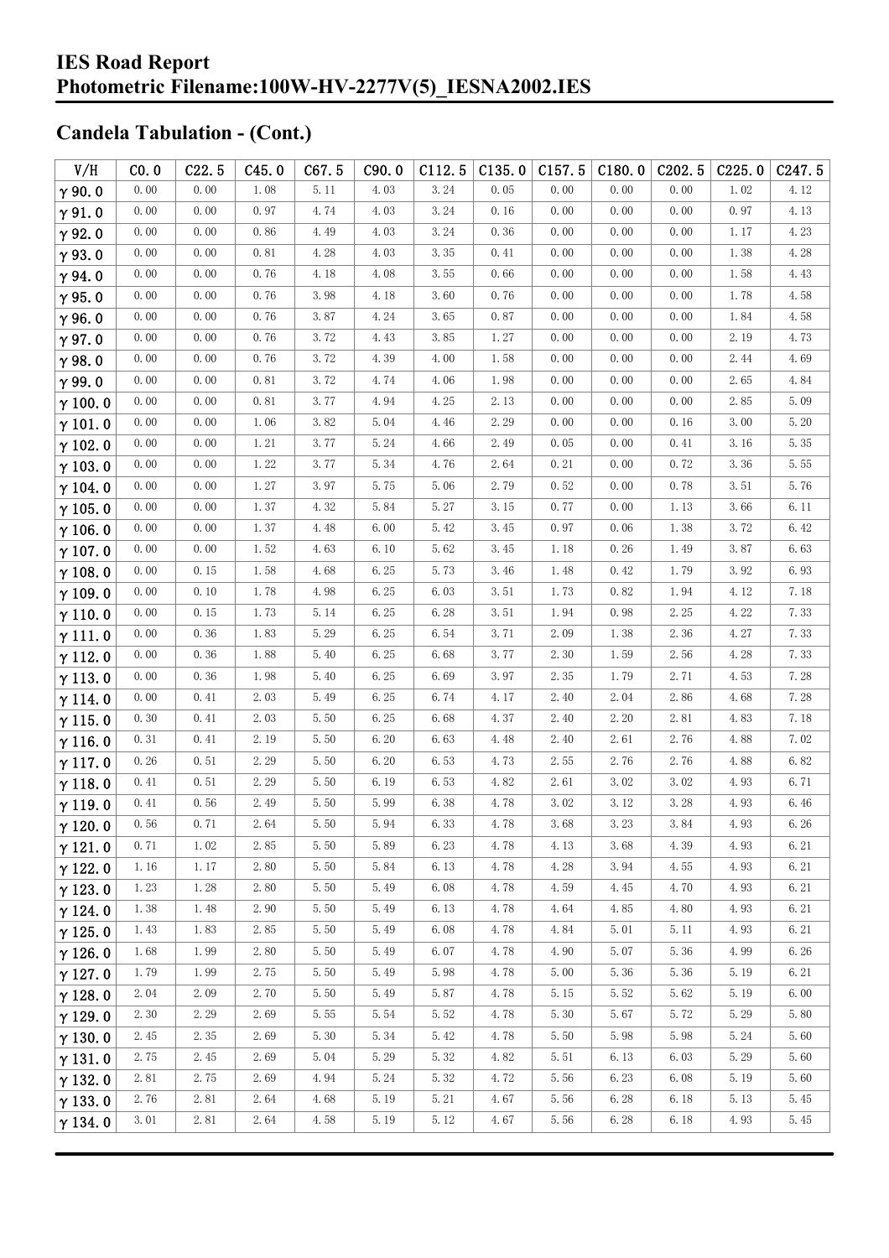| V/H            | CO.0     | C22.5 | C45.0    | C67.5    | C90.0 | C112.5 | C135.0 | C157.5 | C180.0 | C202.5               | C225.0 | C <sub>247.5</sub> |
|----------------|----------|-------|----------|----------|-------|--------|--------|--------|--------|----------------------|--------|--------------------|
| $\gamma$ 90.0  | 0.00     | 0.00  | 1.08     | 5.11     | 4.03  | 3.24   | 0.05   | 0.00   | 0.00   | 0.00                 | 1.02   | 4.12               |
| $\gamma$ 91.0  | 0.00     | 0.00  | 0.97     | 4.74     | 4.03  | 3.24   | 0.16   | 0.00   | 0.00   | 0.00                 | 0.97   | 4.13               |
| $\gamma$ 92.0  | 0.00     | 0.00  | 0.86     | 4.49     | 4.03  | 3.24   | 0.36   | 0.00   | 0.00   | 0.00                 | 1.17   | 4.23               |
| $\gamma$ 93.0  | 0.00     | 0.00  | 0.81     | 4.28     | 4.03  | 3.35   | 0.41   | 0.00   | 0.00   | 0.00                 | 1.38   | 4.28               |
| $\gamma$ 94.0  | 0.00     | 0.00  | 0.76     | 4.18     | 4.08  | 3.55   | 0.66   | 0.00   | 0.00   | 0.00                 | 1.58   | 4.43               |
| $\gamma$ 95.0  | 0.00     | 0.00  | 0.76     | 3.98     | 4.18  | 3.60   | 0.76   | 0.00   | 0.00   | 0.00                 | 1.78   | 4.58               |
| $\gamma$ 96.0  | 0.00     | 0.00  | 0.76     | 3.87     | 4.24  | 3.65   | 0.87   | 0.00   | 0.00   | 0.00                 | 1.84   | 4.58               |
| $\gamma$ 97.0  | 0.00     | 0.00  | 0.76     | 3.72     | 4.43  | 3.85   | 1.27   | 0.00   | 0.00   | 0.00                 | 2.19   | 4.73               |
| $\gamma$ 98.0  | 0.00     | 0.00  | 0.76     | 3.72     | 4.39  | 4.00   | 1.58   | 0.00   | 0.00   | 0.00                 | 2.44   | 4.69               |
| $\gamma$ 99.0  | 0.00     | 0.00  | 0.81     | 3.72     | 4.74  | 4.06   | 1.98   | 0.00   | 0.00   | 0.00                 | 2.65   | 4.84               |
| $\gamma$ 100.0 | 0.00     | 0.00  | 0.81     | 3.77     | 4.94  | 4.25   | 2.13   | 0.00   | 0.00   | 0.00                 | 2.85   | 5.09               |
| $\gamma$ 101.0 | 0.00     | 0.00  | 1.06     | 3.82     | 5.04  | 4.46   | 2.29   | 0.00   | 0.00   | 0.16                 | 3.00   | 5.20               |
| $\gamma$ 102.0 | 0.00     | 0.00  | $1.\,21$ | 3.77     | 5.24  | 4.66   | 2.49   | 0.05   | 0.00   | 0.41                 | 3.16   | 5.35               |
| $\gamma$ 103.0 | 0.00     | 0.00  | 1.22     | 3.77     | 5.34  | 4.76   | 2.64   | 0.21   | 0.00   | 0.72                 | 3.36   | 5.55               |
| $\gamma$ 104.0 | 0.00     | 0.00  | 1.27     | 3.97     | 5.75  | 5.06   | 2.79   | 0.52   | 0.00   | 0.78                 | 3.51   | 5.76               |
| $\gamma$ 105.0 | 0.00     | 0.00  | 1.37     | 4.32     | 5.84  | 5.27   | 3.15   | 0.77   | 0.00   | 1.13                 | 3.66   | 6.11               |
| $\gamma$ 106.0 | 0.00     | 0.00  | $1.\,37$ | 4.48     | 6.00  | 5.42   | 3.45   | 0.97   | 0.06   | 1.38                 | 3.72   | 6.42               |
| $\gamma$ 107.0 | 0.00     | 0.00  | 1.52     | 4.63     | 6.10  | 5.62   | 3.45   | 1.18   | 0.26   | 1.49                 | 3.87   | 6.63               |
| $\gamma$ 108.0 | 0.00     | 0.15  | 1.58     | 4.68     | 6.25  | 5.73   | 3.46   | 1.48   | 0.42   | 1.79                 | 3.92   | 6.93               |
| $\gamma$ 109.0 | 0.00     | 0.10  | 1.78     | 4.98     | 6.25  | 6.03   | 3.51   | 1.73   | 0.82   | 1.94                 | 4.12   | 7.18               |
| $\gamma$ 110.0 | 0.00     | 0.15  | 1.73     | 5.14     | 6.25  | 6.28   | 3.51   | 1.94   | 0.98   | 2.25                 | 4.22   | 7.33               |
| $\gamma$ 111.0 | 0.00     | 0.36  | 1.83     | 5.29     | 6.25  | 6.54   | 3.71   | 2.09   | 1.38   | 2.36                 | 4.27   | 7.33               |
| $\gamma$ 112.0 | 0.00     | 0.36  | 1.88     | 5.40     | 6.25  | 6.68   | 3.77   | 2.30   | 1.59   | 2.56                 | 4.28   | 7.33               |
| $\gamma$ 113.0 | 0.00     | 0.36  | 1.98     | 5.40     | 6.25  | 6.69   | 3.97   | 2.35   | 1.79   | 2.71                 | 4.53   | 7.28               |
| $\gamma$ 114.0 | 0.00     | 0.41  | 2.03     | 5.49     | 6.25  | 6.74   | 4.17   | 2.40   | 2.04   | 2.86                 | 4.68   | 7.28               |
| $\gamma$ 115.0 | 0.30     | 0.41  | 2.03     | 5.50     | 6.25  | 6.68   | 4.37   | 2.40   | 2.20   | 2.81                 | 4.83   | 7.18               |
| $\gamma$ 116.0 | 0.31     | 0.41  | 2.19     | 5.50     | 6.20  | 6.63   | 4.48   | 2.40   | 2.61   | 2.76                 | 4.88   | 7.02               |
| $\gamma$ 117.0 | 0.26     | 0.51  | 2.29     | 5.50     | 6.20  | 6.53   | 4.73   | 2.55   | 2.76   | 2.76                 | 4.88   | 6.82               |
| $\gamma$ 118.0 | 0.41     | 0.51  | 2.29     | 5.50     | 6.19  | 6.53   | 4.82   | 2.61   | 3.02   | 3.02                 | 4.93   | 6.71               |
| $\gamma$ 119.0 | 0.41     | 0.56  | 2.49     | 5.50     | 5.99  | 6.38   | 4.78   | 3.02   | 3.12   | 3.28                 | 4.93   | 6.46               |
| $\gamma$ 120.0 | $0.56\,$ | 0.71  | 2.64     | $5.\,50$ | 5.94  | 6.33   | 4.78   | 3.68   | 3.23   | $3.\,\allowbreak 84$ | 4.93   | $6.26\,$           |
| $\gamma$ 121.0 | 0.71     | 1.02  | 2.85     | 5.50     | 5.89  | 6.23   | 4.78   | 4.13   | 3.68   | 4.39                 | 4.93   | 6.21               |
| $\gamma$ 122.0 | 1.16     | 1.17  | 2.80     | 5.50     | 5.84  | 6.13   | 4.78   | 4.28   | 3.94   | 4.55                 | 4.93   | 6.21               |
| $\gamma$ 123.0 | 1.23     | 1.28  | 2.80     | 5.50     | 5.49  | 6.08   | 4.78   | 4.59   | 4.45   | 4.70                 | 4.93   | 6.21               |
| $\gamma$ 124.0 | 1.38     | 1.48  | 2.90     | 5.50     | 5.49  | 6.13   | 4.78   | 4.64   | 4.85   | 4.80                 | 4.93   | 6.21               |
| $\gamma$ 125.0 | 1.43     | 1.83  | 2.85     | 5.50     | 5.49  | 6.08   | 4.78   | 4.84   | 5.01   | 5.11                 | 4.93   | 6.21               |
| $\gamma$ 126.0 | 1.68     | 1.99  | 2.80     | 5.50     | 5.49  | 6.07   | 4.78   | 4.90   | 5.07   | 5.36                 | 4.99   | 6.26               |
| $\gamma$ 127.0 | 1.79     | 1.99  | 2.75     | 5.50     | 5.49  | 5.98   | 4.78   | 5.00   | 5.36   | 5.36                 | 5.19   | 6.21               |
| $\gamma$ 128.0 | 2.04     | 2.09  | 2.70     | 5.50     | 5.49  | 5.87   | 4.78   | 5.15   | 5.52   | 5.62                 | 5.19   | 6.00               |
| $\gamma$ 129.0 | 2.30     | 2.29  | 2.69     | 5.55     | 5.54  | 5.52   | 4.78   | 5.30   | 5.67   | 5.72                 | 5.29   | 5.80               |
| $\gamma$ 130.0 | 2.45     | 2.35  | 2.69     | 5.30     | 5.34  | 5.42   | 4.78   | 5.50   | 5.98   | 5.98                 | 5.24   | 5.60               |
| $\gamma$ 131.0 | 2.75     | 2.45  | 2.69     | 5.04     | 5.29  | 5.32   | 4.82   | 5.51   | 6.13   | 6.03                 | 5.29   | 5.60               |
| $\gamma$ 132.0 | 2.81     | 2.75  | 2.69     | 4.94     | 5.24  | 5.32   | 4.72   | 5.56   | 6.23   | 6.08                 | 5.19   | 5.60               |
| $\gamma$ 133.0 | 2.76     | 2.81  | 2.64     | 4.68     | 5.19  | 5.21   | 4.67   | 5.56   | 6.28   | 6.18                 | 5.13   | 5.45               |
| $\gamma$ 134.0 | 3.01     | 2.81  | 2.64     | 4.58     | 5.19  | 5.12   | 4.67   | 5.56   | 6.28   | 6.18                 | 4.93   | 5.45               |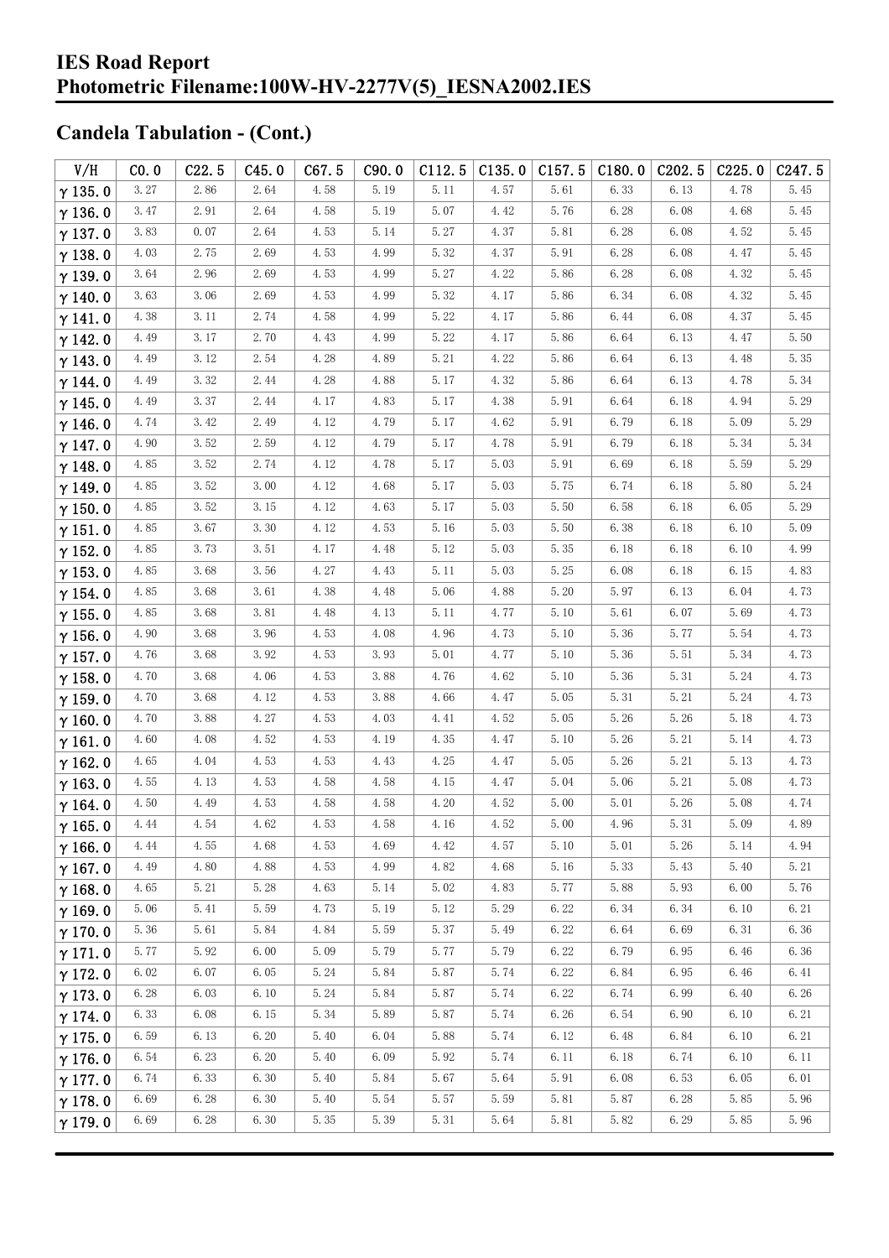| V/H            | CO.0 | C22.5 | C45.0 | C67.5 | C90.0 | C112.5               | C135.0 | C157.5 | C180.0 | C <sub>2</sub> 02.5 | C225.0 | C <sub>247.5</sub> |
|----------------|------|-------|-------|-------|-------|----------------------|--------|--------|--------|---------------------|--------|--------------------|
| $\gamma$ 135.0 | 3.27 | 2.86  | 2.64  | 4.58  | 5.19  | 5.11                 | 4.57   | 5.61   | 6.33   | 6.13                | 4.78   | 5.45               |
| $\gamma$ 136.0 | 3.47 | 2.91  | 2.64  | 4.58  | 5.19  | 5.07                 | 4.42   | 5.76   | 6.28   | 6.08                | 4.68   | 5.45               |
| $\gamma$ 137.0 | 3.83 | 0.07  | 2.64  | 4.53  | 5.14  | 5.27                 | 4.37   | 5.81   | 6.28   | 6.08                | 4.52   | 5.45               |
| $\gamma$ 138.0 | 4.03 | 2.75  | 2.69  | 4.53  | 4.99  | 5.32                 | 4.37   | 5.91   | 6.28   | 6.08                | 4.47   | 5.45               |
| $\gamma$ 139.0 | 3.64 | 2.96  | 2.69  | 4.53  | 4.99  | 5.27                 | 4.22   | 5.86   | 6.28   | 6.08                | 4.32   | 5.45               |
| $\gamma$ 140.0 | 3.63 | 3.06  | 2.69  | 4.53  | 4.99  | 5.32                 | 4.17   | 5.86   | 6.34   | 6.08                | 4.32   | 5.45               |
| $\gamma$ 141.0 | 4.38 | 3.11  | 2.74  | 4.58  | 4.99  | 5.22                 | 4.17   | 5.86   | 6.44   | 6.08                | 4.37   | 5.45               |
| $\gamma$ 142.0 | 4.49 | 3.17  | 2.70  | 4.43  | 4.99  | 5.22                 | 4.17   | 5.86   | 6.64   | 6.13                | 4.47   | 5.50               |
| $\gamma$ 143.0 | 4.49 | 3.12  | 2.54  | 4.28  | 4.89  | 5.21                 | 4.22   | 5.86   | 6.64   | 6.13                | 4.48   | 5.35               |
| $\gamma$ 144.0 | 4.49 | 3.32  | 2.44  | 4.28  | 4.88  | 5.17                 | 4.32   | 5.86   | 6.64   | 6.13                | 4.78   | 5.34               |
| $\gamma$ 145.0 | 4.49 | 3.37  | 2.44  | 4.17  | 4.83  | 5.17                 | 4.38   | 5.91   | 6.64   | 6.18                | 4.94   | 5.29               |
| $\gamma$ 146.0 | 4.74 | 3.42  | 2.49  | 4.12  | 4.79  | 5.17                 | 4.62   | 5.91   | 6.79   | 6.18                | 5.09   | 5.29               |
| $\gamma$ 147.0 | 4.90 | 3.52  | 2.59  | 4.12  | 4.79  | 5.17                 | 4.78   | 5.91   | 6.79   | 6.18                | 5.34   | 5.34               |
| $\gamma$ 148.0 | 4.85 | 3.52  | 2.74  | 4.12  | 4.78  | 5.17                 | 5.03   | 5.91   | 6.69   | 6.18                | 5.59   | 5.29               |
| $\gamma$ 149.0 | 4.85 | 3.52  | 3.00  | 4.12  | 4.68  | 5.17                 | 5.03   | 5.75   | 6.74   | 6.18                | 5.80   | 5.24               |
| $\gamma$ 150.0 | 4.85 | 3.52  | 3.15  | 4.12  | 4.63  | 5.17                 | 5.03   | 5.50   | 6.58   | 6.18                | 6.05   | 5.29               |
| $\gamma$ 151.0 | 4.85 | 3.67  | 3.30  | 4.12  | 4.53  | 5.16                 | 5.03   | 5.50   | 6.38   | 6.18                | 6.10   | 5.09               |
| $\gamma$ 152.0 | 4.85 | 3.73  | 3.51  | 4.17  | 4.48  | 5.12                 | 5.03   | 5.35   | 6.18   | 6.18                | 6.10   | 4.99               |
| $\gamma$ 153.0 | 4.85 | 3.68  | 3.56  | 4.27  | 4.43  | 5.11                 | 5.03   | 5.25   | 6.08   | 6.18                | 6.15   | 4.83               |
| $\gamma$ 154.0 | 4.85 | 3.68  | 3.61  | 4.38  | 4.48  | 5.06                 | 4.88   | 5.20   | 5.97   | 6.13                | 6.04   | 4.73               |
| $\gamma$ 155.0 | 4.85 | 3.68  | 3.81  | 4.48  | 4.13  | 5.11                 | 4.77   | 5.10   | 5.61   | 6.07                | 5.69   | 4.73               |
| $\gamma$ 156.0 | 4.90 | 3.68  | 3.96  | 4.53  | 4.08  | 4.96                 | 4.73   | 5.10   | 5.36   | 5.77                | 5.54   | 4.73               |
| $\gamma$ 157.0 | 4.76 | 3.68  | 3.92  | 4.53  | 3.93  | 5.01                 | 4.77   | 5.10   | 5.36   | 5.51                | 5.34   | 4.73               |
| $\gamma$ 158.0 | 4.70 | 3.68  | 4.06  | 4.53  | 3.88  | 4.76                 | 4.62   | 5.10   | 5.36   | 5.31                | 5.24   | 4.73               |
| $\gamma$ 159.0 | 4.70 | 3.68  | 4.12  | 4.53  | 3.88  | 4.66                 | 4.47   | 5.05   | 5.31   | 5.21                | 5.24   | 4.73               |
| $\gamma$ 160.0 | 4.70 | 3.88  | 4.27  | 4.53  | 4.03  | 4.41                 | 4.52   | 5.05   | 5.26   | 5.26                | 5.18   | 4.73               |
| $\gamma$ 161.0 | 4.60 | 4.08  | 4.52  | 4.53  | 4.19  | 4.35                 | 4.47   | 5.10   | 5.26   | 5.21                | 5.14   | 4.73               |
| $\gamma$ 162.0 | 4.65 | 4.04  | 4.53  | 4.53  | 4.43  | 4.25                 | 4.47   | 5.05   | 5.26   | 5.21                | 5.13   | 4.73               |
| $\gamma$ 163.0 | 4.55 | 4.13  | 4.53  | 4.58  | 4.58  | 4.15                 | 4.47   | 5.04   | 5.06   | 5.21                | 5.08   | 4.73               |
| $\gamma$ 164.0 | 4.50 | 4.49  | 4.53  | 4.58  | 4.58  | 4.20                 | 4.52   | 5.00   | 5.01   | 5.26                | 5.08   | 4.74               |
| $\gamma$ 165.0 | 4.44 | 4.54  | 4.62  | 4.53  | 4.58  | $4.16\,$             | 4.52   | 5.00   | 4.96   | 5.31                | 5.09   | 4.89               |
| $\gamma$ 166.0 | 4.44 | 4.55  | 4.68  | 4.53  | 4.69  | 4.42                 | 4.57   | 5.10   | 5.01   | 5.26                | 5.14   | 4.94               |
| $\gamma$ 167.0 | 4.49 | 4.80  | 4.88  | 4.53  | 4.99  | 4.82                 | 4.68   | 5.16   | 5.33   | 5.43                | 5.40   | 5.21               |
| $\gamma$ 168.0 | 4.65 | 5.21  | 5.28  | 4.63  | 5.14  | $5.\,\allowbreak 02$ | 4.83   | 5.77   | 5.88   | 5.93                | 6.00   | 5.76               |
| $\gamma$ 169.0 | 5.06 | 5.41  | 5.59  | 4.73  | 5.19  | 5.12                 | 5.29   | 6.22   | 6.34   | 6.34                | 6.10   | 6.21               |
| $\gamma$ 170.0 | 5.36 | 5.61  | 5.84  | 4.84  | 5.59  | 5.37                 | 5.49   | 6.22   | 6.64   | 6.69                | 6.31   | 6.36               |
| $\gamma$ 171.0 | 5.77 | 5.92  | 6.00  | 5.09  | 5.79  | 5.77                 | 5.79   | 6.22   | 6.79   | 6.95                | 6.46   | 6.36               |
| $\gamma$ 172.0 | 6.02 | 6.07  | 6.05  | 5.24  | 5.84  | 5.87                 | 5.74   | 6.22   | 6.84   | 6.95                | 6.46   | 6.41               |
| $\gamma$ 173.0 | 6.28 | 6.03  | 6.10  | 5.24  | 5.84  | 5.87                 | 5.74   | 6.22   | 6.74   | 6.99                | 6.40   | 6.26               |
| $\gamma$ 174.0 | 6.33 | 6.08  | 6.15  | 5.34  | 5.89  | 5.87                 | 5.74   | 6.26   | 6.54   | 6.90                | 6.10   | 6.21               |
| $\gamma$ 175.0 | 6.59 | 6.13  | 6.20  | 5.40  | 6.04  | 5.88                 | 5.74   | 6.12   | 6.48   | 6.84                | 6.10   | 6.21               |
| $\gamma$ 176.0 | 6.54 | 6.23  | 6.20  | 5.40  | 6.09  | 5.92                 | 5.74   | 6.11   | 6.18   | 6.74                | 6.10   | 6.11               |
| $\gamma$ 177.0 | 6.74 | 6.33  | 6.30  | 5.40  | 5.84  | 5.67                 | 5.64   | 5.91   | 6.08   | 6.53                | 6.05   | 6.01               |
| $\gamma$ 178.0 | 6.69 | 6.28  | 6.30  | 5.40  | 5.54  | 5.57                 | 5.59   | 5.81   | 5.87   | 6.28                | 5.85   | 5.96               |
| $\gamma$ 179.0 | 6.69 | 6.28  | 6.30  | 5.35  | 5.39  | 5.31                 | 5.64   | 5.81   | 5.82   | 6.29                | 5.85   | 5.96               |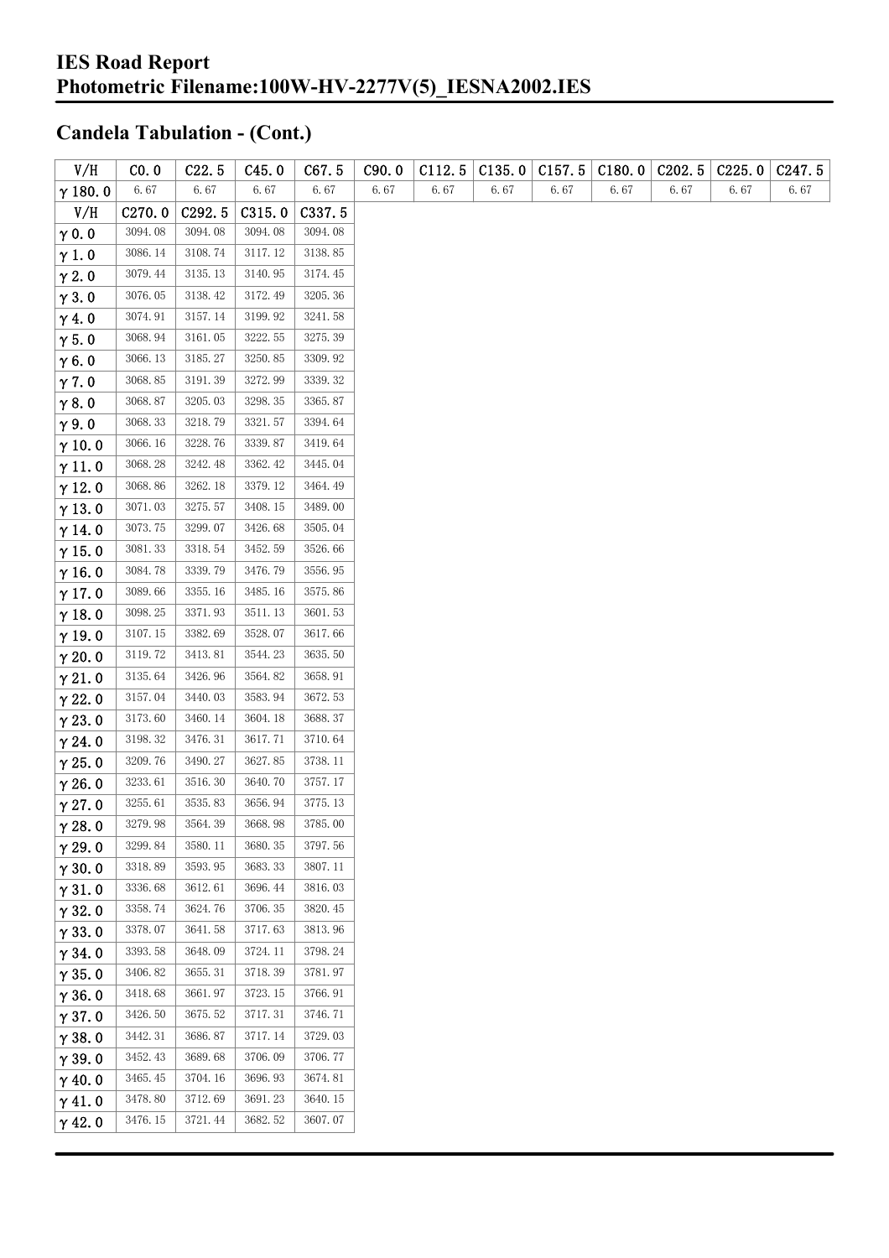| V/H            | CO.0    | C22.5   | C45.0   | C67.5   | C90.0 | C112.5 | C135.0 | C157.5 | C180.0 | C202.5 | C225.0 | C <sub>247.5</sub> |
|----------------|---------|---------|---------|---------|-------|--------|--------|--------|--------|--------|--------|--------------------|
| $\gamma$ 180.0 | 6.67    | 6.67    | 6.67    | 6.67    | 6.67  | 6.67   | 6.67   | 6.67   | 6.67   | 6.67   | 6.67   | 6.67               |
| V/H            | C270.0  | C292.5  | C315.0  | C337.5  |       |        |        |        |        |        |        |                    |
| $\gamma$ 0.0   | 3094.08 | 3094.08 | 3094.08 | 3094.08 |       |        |        |        |        |        |        |                    |
| $\gamma$ 1.0   | 3086.14 | 3108.74 | 3117.12 | 3138.85 |       |        |        |        |        |        |        |                    |
| $\gamma$ 2.0   | 3079.44 | 3135.13 | 3140.95 | 3174.45 |       |        |        |        |        |        |        |                    |
| $\gamma$ 3.0   | 3076.05 | 3138.42 | 3172.49 | 3205.36 |       |        |        |        |        |        |        |                    |
| $\gamma$ 4.0   | 3074.91 | 3157.14 | 3199.92 | 3241.58 |       |        |        |        |        |        |        |                    |
| $\gamma$ 5.0   | 3068.94 | 3161.05 | 3222.55 | 3275.39 |       |        |        |        |        |        |        |                    |
| $\gamma$ 6.0   | 3066.13 | 3185.27 | 3250.85 | 3309.92 |       |        |        |        |        |        |        |                    |
| $\gamma$ 7.0   | 3068.85 | 3191.39 | 3272.99 | 3339.32 |       |        |        |        |        |        |        |                    |
| $\gamma$ 8.0   | 3068.87 | 3205.03 | 3298.35 | 3365.87 |       |        |        |        |        |        |        |                    |
| $\gamma$ 9.0   | 3068.33 | 3218.79 | 3321.57 | 3394.64 |       |        |        |        |        |        |        |                    |
| $\gamma$ 10.0  | 3066.16 | 3228.76 | 3339.87 | 3419.64 |       |        |        |        |        |        |        |                    |
| $\gamma$ 11.0  | 3068.28 | 3242.48 | 3362.42 | 3445.04 |       |        |        |        |        |        |        |                    |
| $\gamma$ 12.0  | 3068.86 | 3262.18 | 3379.12 | 3464.49 |       |        |        |        |        |        |        |                    |
| $\gamma$ 13.0  | 3071.03 | 3275.57 | 3408.15 | 3489.00 |       |        |        |        |        |        |        |                    |
| $\gamma$ 14.0  | 3073.75 | 3299.07 | 3426.68 | 3505.04 |       |        |        |        |        |        |        |                    |
| $\gamma$ 15.0  | 3081.33 | 3318.54 | 3452.59 | 3526.66 |       |        |        |        |        |        |        |                    |
| $\gamma$ 16.0  | 3084.78 | 3339.79 | 3476.79 | 3556.95 |       |        |        |        |        |        |        |                    |
| $\gamma$ 17.0  | 3089.66 | 3355.16 | 3485.16 | 3575.86 |       |        |        |        |        |        |        |                    |
| $\gamma$ 18.0  | 3098.25 | 3371.93 | 3511.13 | 3601.53 |       |        |        |        |        |        |        |                    |
| $\gamma$ 19.0  | 3107.15 | 3382.69 | 3528.07 | 3617.66 |       |        |        |        |        |        |        |                    |
| $\gamma$ 20.0  | 3119.72 | 3413.81 | 3544.23 | 3635.50 |       |        |        |        |        |        |        |                    |
| $\gamma$ 21.0  | 3135.64 | 3426.96 | 3564.82 | 3658.91 |       |        |        |        |        |        |        |                    |
| $\gamma$ 22.0  | 3157.04 | 3440.03 | 3583.94 | 3672.53 |       |        |        |        |        |        |        |                    |
| $\gamma$ 23.0  | 3173.60 | 3460.14 | 3604.18 | 3688.37 |       |        |        |        |        |        |        |                    |
| $\gamma$ 24.0  | 3198.32 | 3476.31 | 3617.71 | 3710.64 |       |        |        |        |        |        |        |                    |
| $\gamma$ 25.0  | 3209.76 | 3490.27 | 3627.85 | 3738.11 |       |        |        |        |        |        |        |                    |
| $\gamma$ 26.0  | 3233.61 | 3516.30 | 3640.70 | 3757.17 |       |        |        |        |        |        |        |                    |
| $\gamma$ 27.0  | 3255.61 | 3535.83 | 3656.94 | 3775.13 |       |        |        |        |        |        |        |                    |
| $\gamma$ 28.0  | 3279.98 | 3564.39 | 3668.98 | 3785.00 |       |        |        |        |        |        |        |                    |
| $\gamma$ 29.0  | 3299.84 | 3580.11 | 3680.35 | 3797.56 |       |        |        |        |        |        |        |                    |
| $\gamma$ 30.0  | 3318.89 | 3593.95 | 3683.33 | 3807.11 |       |        |        |        |        |        |        |                    |
| $\gamma$ 31.0  | 3336.68 | 3612.61 | 3696.44 | 3816.03 |       |        |        |        |        |        |        |                    |
| $\gamma$ 32.0  | 3358.74 | 3624.76 | 3706.35 | 3820.45 |       |        |        |        |        |        |        |                    |
| $\gamma$ 33.0  | 3378.07 | 3641.58 | 3717.63 | 3813.96 |       |        |        |        |        |        |        |                    |
| $\gamma$ 34.0  | 3393.58 | 3648.09 | 3724.11 | 3798.24 |       |        |        |        |        |        |        |                    |
| $\gamma$ 35.0  | 3406.82 | 3655.31 | 3718.39 | 3781.97 |       |        |        |        |        |        |        |                    |
| $\gamma$ 36.0  | 3418.68 | 3661.97 | 3723.15 | 3766.91 |       |        |        |        |        |        |        |                    |
| $\gamma$ 37.0  | 3426.50 | 3675.52 | 3717.31 | 3746.71 |       |        |        |        |        |        |        |                    |
| $\gamma$ 38.0  | 3442.31 | 3686.87 | 3717.14 | 3729.03 |       |        |        |        |        |        |        |                    |
| $\gamma$ 39.0  | 3452.43 | 3689.68 | 3706.09 | 3706.77 |       |        |        |        |        |        |        |                    |
| $\gamma$ 40.0  | 3465.45 | 3704.16 | 3696.93 | 3674.81 |       |        |        |        |        |        |        |                    |
| $\gamma$ 41.0  | 3478.80 | 3712.69 | 3691.23 | 3640.15 |       |        |        |        |        |        |        |                    |
| $\gamma$ 42.0  | 3476.15 | 3721.44 | 3682.52 | 3607.07 |       |        |        |        |        |        |        |                    |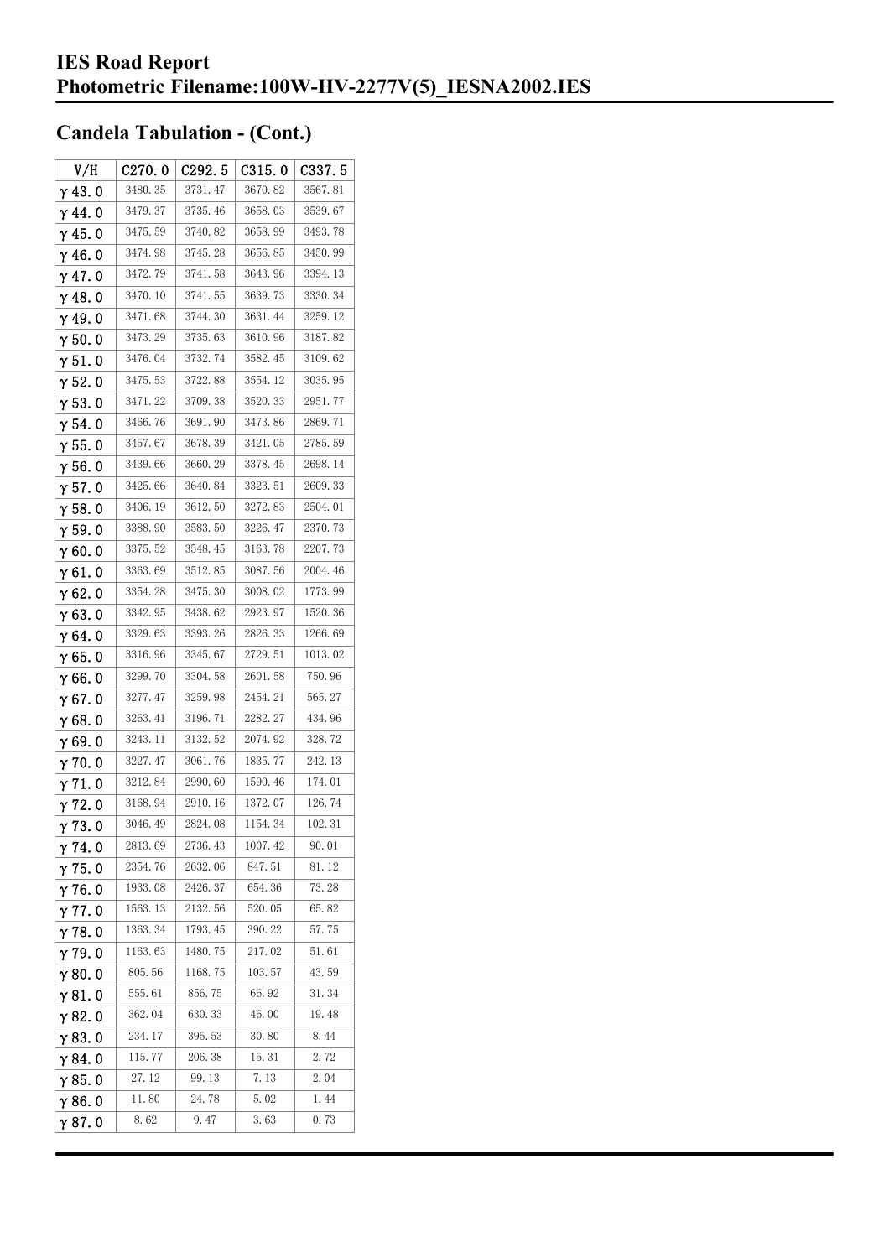| V/H            | C270.0  | C <sub>292.5</sub> | C315.0  | C337.5  |
|----------------|---------|--------------------|---------|---------|
| $\gamma$ 43. 0 | 3480.35 | 3731.47            | 3670.82 | 3567.81 |
| $\gamma$ 44. 0 | 3479.37 | 3735.46            | 3658.03 | 3539.67 |
| $\gamma$ 45. 0 | 3475.59 | 3740.82            | 3658.99 | 3493.78 |
| γ46.0          | 3474.98 | 3745.28            | 3656.85 | 3450.99 |
| $\gamma$ 47. 0 | 3472.79 | 3741.58            | 3643.96 | 3394.13 |
| $\gamma$ 48. 0 | 3470.10 | 3741.55            | 3639.73 | 3330.34 |
| $\gamma$ 49.0  | 3471.68 | 3744.30            | 3631.44 | 3259.12 |
| $\gamma$ 50.0  | 3473.29 | 3735.63            | 3610.96 | 3187.82 |
| γ51.0          | 3476.04 | 3732.74            | 3582.45 | 3109.62 |
| $\gamma$ 52. 0 | 3475.53 | 3722.88            | 3554.12 | 3035.95 |
| $\gamma$ 53. 0 | 3471.22 | 3709.38            | 3520.33 | 2951.77 |
| γ54.0          | 3466.76 | 3691.90            | 3473.86 | 2869.71 |
| $\gamma$ 55. 0 | 3457.67 | 3678.39            | 3421.05 | 2785.59 |
| $\gamma$ 56. 0 | 3439.66 | 3660.29            | 3378.45 | 2698.14 |
| $\gamma$ 57.0  | 3425.66 | 3640.84            | 3323.51 | 2609.33 |
| $\gamma$ 58.0  | 3406.19 | 3612.50            | 3272.83 | 2504.01 |
| $\gamma$ 59.0  | 3388.90 | 3583.50            | 3226.47 | 2370.73 |
| γ60.0          | 3375.52 | 3548.45            | 3163.78 | 2207.73 |
| $\gamma$ 61. 0 | 3363.69 | 3512.85            | 3087.56 | 2004.46 |
| $\gamma$ 62. 0 | 3354.28 | 3475.30            | 3008.02 | 1773.99 |
| $\gamma$ 63.0  | 3342.95 | 3438.62            | 2923.97 | 1520.36 |
| γ64.0          | 3329.63 | 3393.26            | 2826.33 | 1266.69 |
| $\gamma$ 65.0  | 3316.96 | 3345.67            | 2729.51 | 1013.02 |
| γ66.0          | 3299.70 | 3304.58            | 2601.58 | 750.96  |
| $\gamma$ 67. 0 | 3277.47 | 3259.98            | 2454.21 | 565.27  |
| γ68.0          | 3263.41 | 3196.71            | 2282.27 | 434.96  |
| γ69.0          | 3243.11 | 3132.52            | 2074.92 | 328.72  |
| $\gamma$ 70.0  | 3227.47 | 3061.76            | 1835.77 | 242.13  |
| γ71.0          | 3212.84 | 2990.60            | 1590.46 | 174.01  |
| γ72.0          | 3168.94 | 2910.16            | 1372.07 | 126.74  |
| $\gamma$ 73. 0 | 3046.49 | 2824.08            | 1154.34 | 102.31  |
| γ74. O         | 2813.69 | 2736.43            | 1007.42 | 90.01   |
| γ75.0          | 2354.76 | 2632.06            | 847.51  | 81.12   |
| $\gamma$ 76.0  | 1933.08 | 2426.37            | 654.36  | 73.28   |
| $\gamma$ 77. 0 | 1563.13 | 2132.56            | 520.05  | 65.82   |
| $\gamma$ 78.0  | 1363.34 | 1793.45            | 390.22  | 57.75   |
| $\gamma$ 79.0  | 1163.63 | 1480.75            | 217.02  | 51.61   |
| $\gamma$ 80.0  | 805.56  | 1168.75            | 103.57  | 43.59   |
| $\gamma$ 81. 0 | 555.61  | 856.75             | 66. 92  | 31.34   |
| $\gamma$ 82. 0 | 362.04  | 630.33             | 46.00   | 19.48   |
| $\gamma$ 83.0  | 234.17  | 395.53             | 30.80   | 8.44    |
| γ84. O         | 115.77  | 206.38             | 15.31   | 2.72    |
| $\gamma$ 85. 0 | 27.12   | 99.13              | 7.13    | 2.04    |
| $\gamma$ 86.0  | 11.80   | 24.78              | 5.02    | 1.44    |
| γ87.0          | 8.62    | 9.47               | 3.63    | 0.73    |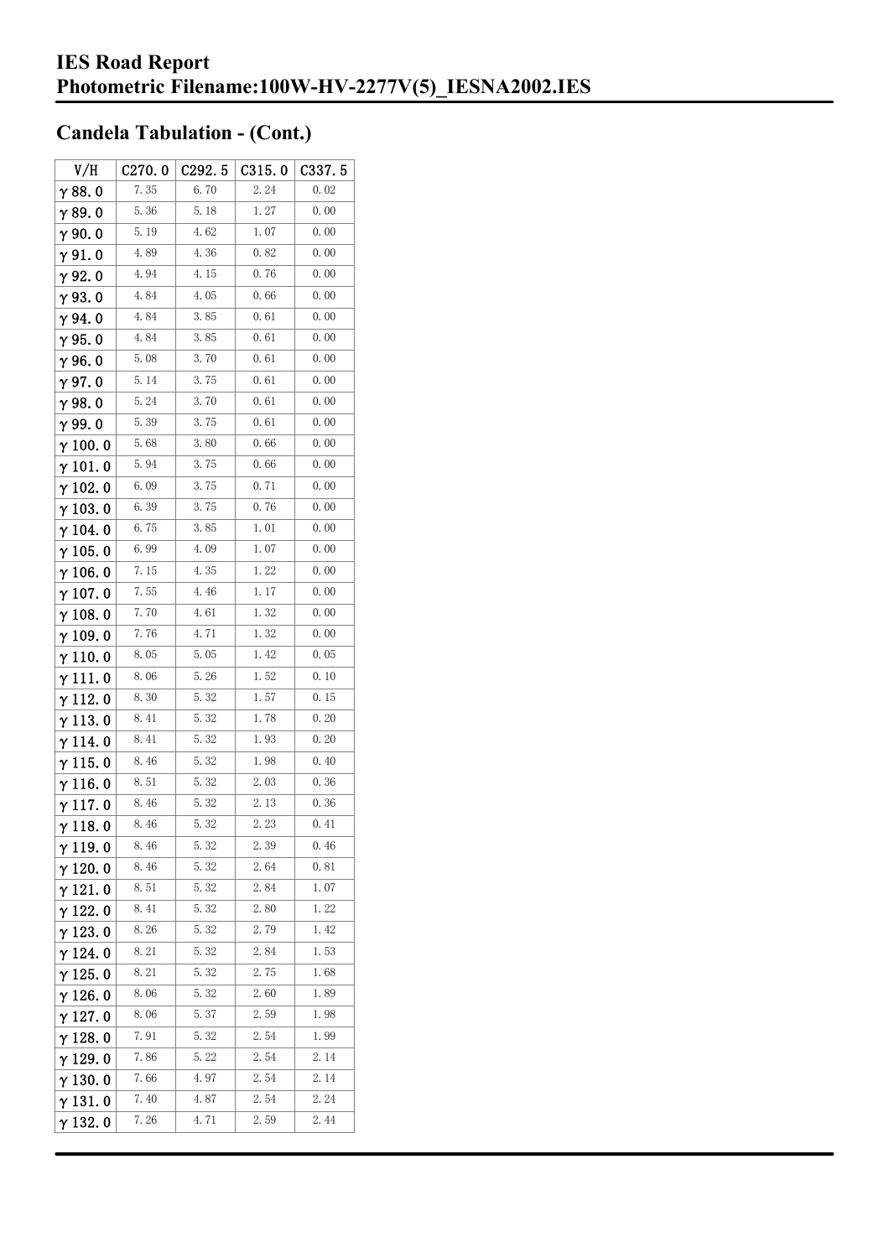| V/H             | C270.0 | C <sub>292.5</sub> | C315.0 | C337.5 |
|-----------------|--------|--------------------|--------|--------|
| $\gamma$ 88. 0  | 7.35   | 6.70               | 2.24   | 0.02   |
| $\gamma$ 89.0   | 5.36   | 5.18               | 1.27   | 0.00   |
| $\gamma$ 90.0   | 5.19   | 4.62               | 1.07   | 0.00   |
| $\gamma$ 91.0   | 4.89   | 4.36               | 0.82   | 0.00   |
| $\gamma$ 92.0   | 4.94   | 4.15               | 0.76   | 0.00   |
| $\gamma$ 93.0   | 4.84   | 4.05               | 0.66   | 0.00   |
| $\gamma$ 94. 0  | 4.84   | 3.85               | 0.61   | 0.00   |
| $\gamma$ 95.0   | 4.84   | 3.85               | 0.61   | 0.00   |
| $\gamma$ 96.0   | 5.08   | 3.70               | 0.61   | 0.00   |
| $\gamma$ 97.0   | 5.14   | 3.75               | 0.61   | 0.00   |
| γ98.0           | 5.24   | 3.70               | 0.61   | 0.00   |
| $\gamma$ 99.0   | 5.39   | 3.75               | 0.61   | 0.00   |
| $\gamma$ 100.0  | 5.68   | 3.80               | 0.66   | 0.00   |
| $\gamma$ 101. 0 | 5.94   | 3.75               | 0.66   | 0.00   |
| $\gamma$ 102.0  | 6.09   | 3.75               | 0.71   | 0.00   |
| $\gamma$ 103.0  | 6.39   | 3.75               | 0.76   | 0.00   |
| $\gamma$ 104.0  | 6.75   | 3.85               | 1.01   | 0.00   |
| $\gamma$ 105. 0 | 6.99   | 4.09               | 1.07   | 0.00   |
| $\gamma$ 106.0  | 7.15   | 4.35               | 1.22   | 0.00   |
| $\gamma$ 107.0  | 7.55   | 4.46               | 1.17   | 0.00   |
| $\gamma$ 108. 0 | 7.70   | 4.61               | 1.32   | 0.00   |
| $\gamma$ 109.0  | 7.76   | 4.71               | 1.32   | 0.00   |
| $\gamma$ 110.0  | 8.05   | 5.05               | 1.42   | 0.05   |
| γ111.0          | 8.06   | 5.26               | 1.52   | 0.10   |
| $\gamma$ 112. 0 | 8.30   | 5.32               | 1.57   | 0.15   |
| $\gamma$ 113. 0 | 8.41   | 5.32               | 1.78   | 0.20   |
| $\gamma$ 114.0  | 8.41   | 5.32               | 1.93   | 0.20   |
| $\gamma$ 115.0  | 8.46   | 5.32               | 1.98   | 0.40   |
| $\gamma$ 116. 0 | 8.51   | 5.32               | 2.03   | 0.36   |
| $\gamma$ 117.0  | 8.46   | 5.32               | 2.13   | 0.36   |
| $\gamma$ 118. 0 | 8.46   | 5.32               | 2.23   | 0.41   |
| γ119.0          | 8.46   | 5.32               | 2.39   | 0.46   |
| $\gamma$ 120.0  | 8.46   | 5.32               | 2.64   | 0.81   |
| $\gamma$ 121. 0 | 8.51   | 5.32               | 2.84   | $1.07$ |
| $\gamma$ 122.0  | 8.41   | 5.32               | 2.80   | 1.22   |
| $\gamma$ 123.0  | 8.26   | 5.32               | 2.79   | 1.42   |
| γ 124. 0        | 8.21   | 5.32               | 2.84   | 1.53   |
| $\gamma$ 125. 0 | 8.21   | 5.32               | 2.75   | 1.68   |
| $\gamma$ 126.0  | 8.06   | 5.32               | 2.60   | 1.89   |
| $\gamma$ 127. 0 | 8.06   | 5.37               | 2.59   | 1.98   |
| $\gamma$ 128.0  | 7.91   | 5.32               | 2.54   | 1.99   |
| $\gamma$ 129.0  | 7.86   | 5.22               | 2.54   | 2.14   |
| $\gamma$ 130.0  | 7.66   | 4.97               | 2.54   | 2.14   |
| γ131.0          | 7.40   | 4.87               | 2.54   | 2.24   |
| γ132.0          | 7.26   | 4.71               | 2.59   | 2.44   |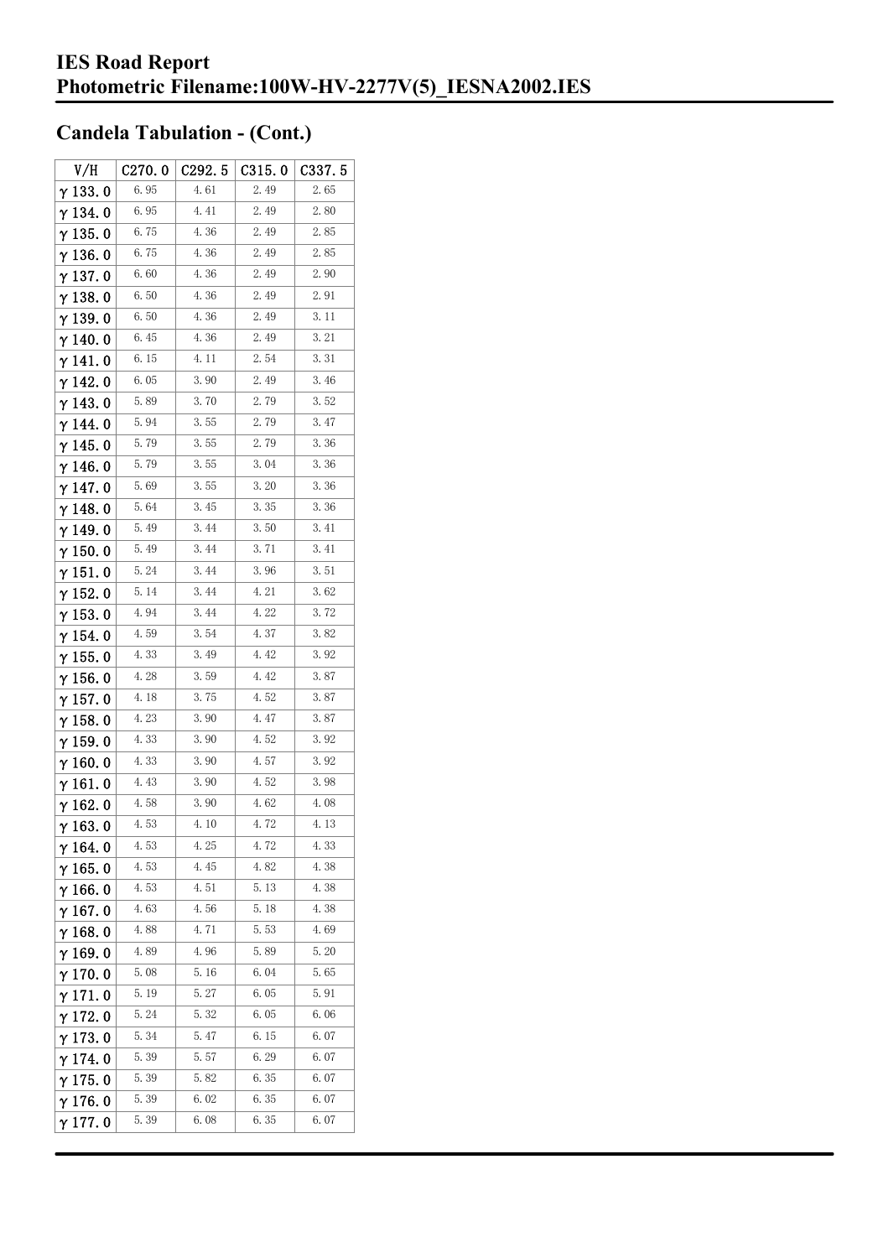| V/H             | C270.0 | C <sub>292.5</sub> | C315.0 | C337.5 |
|-----------------|--------|--------------------|--------|--------|
| $\gamma$ 133.0  | 6.95   | 4.61               | 2.49   | 2.65   |
| $\gamma$ 134. 0 | 6.95   | 4.41               | 2.49   | 2.80   |
| $\gamma$ 135. 0 | 6.75   | 4.36               | 2.49   | 2.85   |
| $\gamma$ 136.0  | 6.75   | 4.36               | 2.49   | 2.85   |
| $\gamma$ 137.0  | 6.60   | 4.36               | 2.49   | 2.90   |
| $\gamma$ 138.0  | 6.50   | 4.36               | 2.49   | 2.91   |
| γ139.0          | 6.50   | 4.36               | 2.49   | 3.11   |
| $\gamma$ 140.0  | 6.45   | 4.36               | 2.49   | 3. 21  |
| γ141.0          | 6.15   | 4.11               | 2.54   | 3.31   |
| $\gamma$ 142. 0 | 6.05   | 3.90               | 2.49   | 3.46   |
| $\gamma$ 143.0  | 5.89   | 3.70               | 2.79   | 3.52   |
| $\gamma$ 144. 0 | 5.94   | 3.55               | 2.79   | 3.47   |
| $\gamma$ 145. 0 | 5.79   | 3.55               | 2.79   | 3.36   |
| γ146.0          | 5.79   | 3.55               | 3.04   | 3.36   |
| γ147.0          | 5.69   | 3.55               | 3.20   | 3.36   |
| $\gamma$ 148.0  | 5.64   | 3.45               | 3.35   | 3.36   |
| $\gamma$ 149. 0 | 5.49   | 3.44               | 3.50   | 3.41   |
| $\gamma$ 150. 0 | 5.49   | 3.44               | 3.71   | 3.41   |
| $\gamma$ 151.0  | 5.24   | 3.44               | 3.96   | 3.51   |
| $\gamma$ 152. 0 | 5.14   | 3.44               | 4.21   | 3.62   |
| $\gamma$ 153. 0 | 4.94   | 3.44               | 4.22   | 3.72   |
| $\gamma$ 154. 0 | 4.59   | 3.54               | 4.37   | 3.82   |
| $\gamma$ 155. 0 | 4.33   | 3.49               | 4.42   | 3.92   |
| $\gamma$ 156. 0 | 4.28   | 3.59               | 4.42   | 3.87   |
| $\gamma$ 157. 0 | 4.18   | 3.75               | 4.52   | 3.87   |
| $\gamma$ 158.0  | 4.23   | 3.90               | 4.47   | 3.87   |
| $\gamma$ 159.0  | 4.33   | 3.90               | 4.52   | 3.92   |
| $\gamma$ 160. 0 | 4.33   | 3.90               | 4.57   | 3.92   |
| γ161.0          | 4.43   | 3.90               | 4.52   | 3.98   |
| $\gamma$ 162.0  | 4.58   | 3.90               | 4.62   | 4.08   |
| $\gamma$ 163.0  | 4.53   | 4.10               | 4.72   | 4.13   |
| $\gamma$ 164. 0 | 4.53   | 4.25               | 4.72   | 4.33   |
| $\gamma$ 165.0  | 4.53   | 4.45               | 4.82   | 4.38   |
| $\gamma$ 166.0  | 4.53   | 4.51               | 5.13   | 4.38   |
| $\gamma$ 167.0  | 4.63   | 4.56               | 5.18   | 4.38   |
| $\gamma$ 168.0  | 4.88   | 4.71               | 5.53   | 4.69   |
| $\gamma$ 169.0  | 4.89   | 4.96               | 5.89   | 5.20   |
| $\gamma$ 170.0  | 5.08   | 5.16               | 6.04   | 5.65   |
| $\gamma$ 171. 0 | 5. 19  | 5.27               | 6.05   | 5.91   |
| $\gamma$ 172. 0 | 5.24   | 5.32               | 6.05   | 6.06   |
| $\gamma$ 173.0  | 5.34   | 5.47               | 6.15   | 6.07   |
| $\gamma$ 174.0  | 5.39   | 5.57               | 6.29   | 6.07   |
| $\gamma$ 175. 0 | 5.39   | 5.82               | 6.35   | 6.07   |
| $\gamma$ 176.0  | 5.39   | 6.02               | 6.35   | 6.07   |
| γ177.0          | 5.39   | 6.08               | 6.35   | 6.07   |